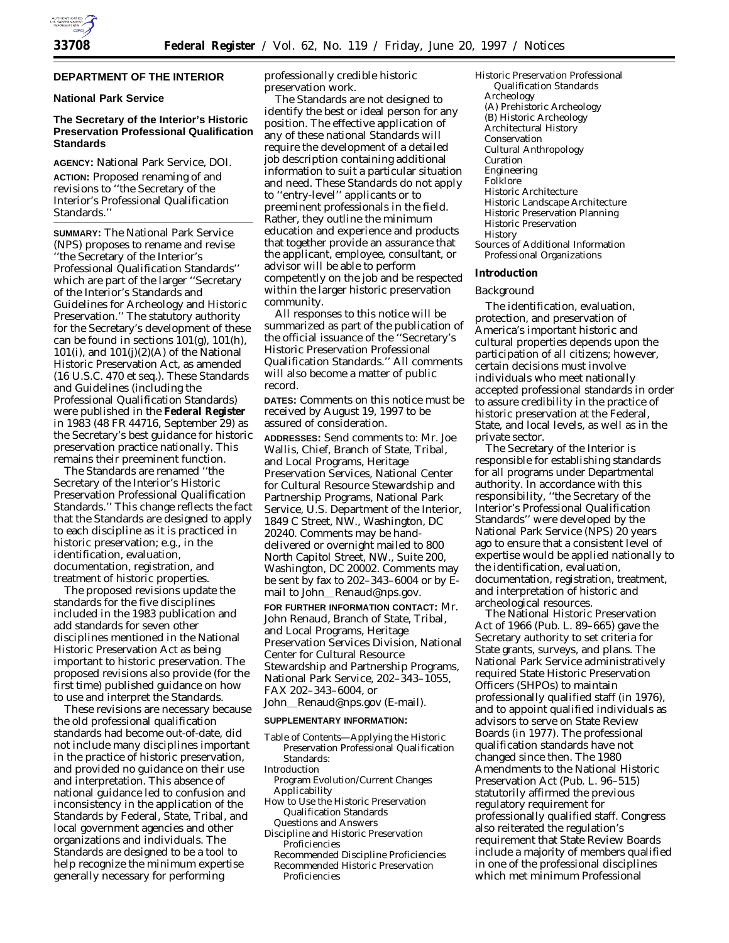

# **DEPARTMENT OF THE INTERIOR**

### **National Park Service**

## **The Secretary of the Interior's Historic Preservation Professional Qualification Standards**

**AGENCY:** National Park Service, DOI. **ACTION:** Proposed renaming of and revisions to ''the Secretary of the Interior's Professional Qualification Standards.''

**SUMMARY:** The National Park Service (NPS) proposes to rename and revise ''the Secretary of the Interior's Professional Qualification Standards'' which are part of the larger ''Secretary of the Interior's Standards and Guidelines for Archeology and Historic Preservation.'' The statutory authority for the Secretary's development of these can be found in sections 101(g), 101(h), 101(i), and  $101(j)(2)(A)$  of the National Historic Preservation Act, as amended (16 U.S.C. 470 *et seq.*). These Standards and Guidelines (including the Professional Qualification Standards) were published in the **Federal Register** in 1983 (48 FR 44716, September 29) as the Secretary's best guidance for historic preservation practice nationally. This remains their preeminent function.

The Standards are renamed ''the Secretary of the Interior's Historic Preservation Professional Qualification Standards.'' This change reflects the fact that the Standards are designed to apply to each discipline as it is practiced in historic preservation; e.g., in the identification, evaluation, documentation, registration, and treatment of historic properties.

The proposed revisions update the standards for the five disciplines included in the 1983 publication and add standards for seven other disciplines mentioned in the National Historic Preservation Act as being important to historic preservation. The proposed revisions also provide (for the first time) published guidance on how to use and interpret the Standards.

These revisions are necessary because the old professional qualification standards had become out-of-date, did not include many disciplines important in the practice of historic preservation, and provided no guidance on their use and interpretation. This absence of national guidance led to confusion and inconsistency in the application of the Standards by Federal, State, Tribal, and local government agencies and other organizations and individuals. The Standards are designed to be a tool to help recognize the minimum expertise generally necessary for performing

professionally credible historic preservation work.

The Standards are not designed to identify the best or ideal person for any position. The effective application of any of these national Standards will require the development of a detailed job description containing additional information to suit a particular situation and need. These Standards do not apply to ''entry-level'' applicants or to preeminent professionals in the field. Rather, they outline the minimum education and experience and products that together provide an assurance that the applicant, employee, consultant, or advisor will be able to perform competently on the job and be respected within the larger historic preservation community.

All responses to this notice will be summarized as part of the publication of the official issuance of the ''Secretary's Historic Preservation Professional Qualification Standards.'' All comments will also become a matter of public record.

**DATES:** Comments on this notice must be received by August 19, 1997 to be assured of consideration.

**ADDRESSES:** Send comments to: Mr. Joe Wallis, Chief, Branch of State, Tribal, and Local Programs, Heritage Preservation Services, National Center for Cultural Resource Stewardship and Partnership Programs, National Park Service, U.S. Department of the Interior, 1849 C Street, NW., Washington, DC 20240. Comments may be handdelivered or overnight mailed to 800 North Capitol Street, NW., Suite 200, Washington, DC 20002. Comments may be sent by fax to 202–343–6004 or by Email to John Renaud@nps.gov.

**FOR FURTHER INFORMATION CONTACT:** Mr. John Renaud, Branch of State, Tribal, and Local Programs, Heritage Preservation Services Division, National Center for Cultural Resource Stewardship and Partnership Programs, National Park Service, 202–343–1055, FAX 202–343–6004, or

John Renaud@nps.gov (E-mail).

### **SUPPLEMENTARY INFORMATION:**

- Table of Contents—Applying the Historic Preservation Professional Qualification Standards:
- Introduction
- Program Evolution/Current Changes Applicability
- How to Use the Historic Preservation Qualification Standards Questions and Answers
- Discipline and Historic Preservation **Proficiencies**
- Recommended Discipline Proficiencies Recommended Historic Preservation Proficiencies

Historic Preservation Professional Qualification Standards Archeology (A) Prehistoric Archeology (B) Historic Archeology Architectural History Conservation Cultural Anthropology Curation Engineering Folklore Historic Architecture Historic Landscape Architecture Historic Preservation Planning Historic Preservation History Sources of Additional Information Professional Organizations

#### **Introduction**

#### *Background*

The identification, evaluation, protection, and preservation of America's important historic and cultural properties depends upon the participation of all citizens; however, certain decisions must involve individuals who meet nationally accepted professional standards in order to assure credibility in the practice of historic preservation at the Federal, State, and local levels, as well as in the private sector.

The Secretary of the Interior is responsible for establishing standards for all programs under Departmental authority. In accordance with this responsibility, ''the Secretary of the Interior's Professional Qualification Standards'' were developed by the National Park Service (NPS) 20 years ago to ensure that a consistent level of expertise would be applied nationally to the identification, evaluation, documentation, registration, treatment, and interpretation of historic and archeological resources.

The National Historic Preservation Act of 1966 (Pub. L. 89–665) gave the Secretary authority to set criteria for State grants, surveys, and plans. The National Park Service administratively required State Historic Preservation Officers (SHPOs) to maintain professionally qualified staff (in 1976), and to appoint qualified individuals as advisors to serve on State Review Boards (in 1977). The professional qualification standards have not changed since then. The 1980 Amendments to the National Historic Preservation Act (Pub. L. 96–515) statutorily affirmed the previous regulatory requirement for professionally qualified staff. Congress also reiterated the regulation's requirement that State Review Boards include a majority of members qualified in one of the professional disciplines which met minimum Professional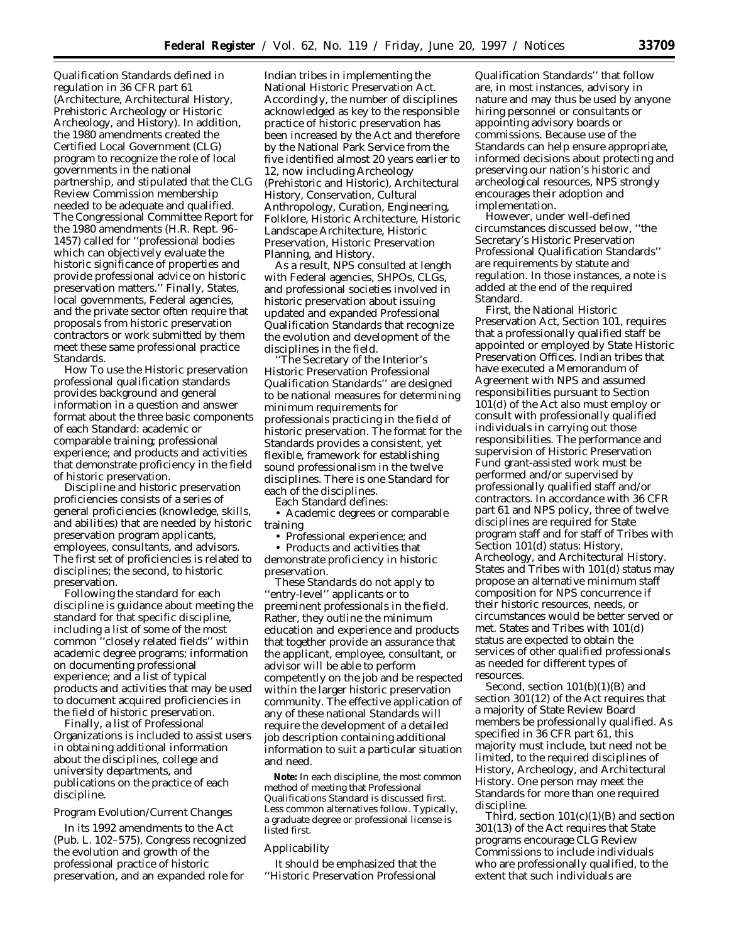Qualification Standards defined in regulation in 36 CFR part 61 (Architecture, Architectural History, Prehistoric Archeology or Historic Archeology, and History). In addition, the 1980 amendments created the Certified Local Government (CLG) program to recognize the role of local governments in the national partnership, and stipulated that the CLG Review Commission membership needed to be adequate and qualified. The Congressional Committee Report for the 1980 amendments (H.R. Rept. 96– 1457) called for ''professional bodies which can objectively evaluate the historic significance of properties and provide professional advice on historic preservation matters.'' Finally, States, local governments, Federal agencies, and the private sector often require that proposals from historic preservation contractors or work submitted by them meet these same professional practice Standards.

How To use the Historic preservation professional qualification standards provides background and general information in a question and answer format about the three basic components of each Standard: academic or comparable training; professional experience; and products and activities that demonstrate proficiency in the field of historic preservation.

Discipline and historic preservation proficiencies consists of a series of general proficiencies (knowledge, skills, and abilities) that are needed by historic preservation program applicants, employees, consultants, and advisors. The first set of proficiencies is related to disciplines; the second, to historic preservation.

Following the standard for each discipline is guidance about meeting the standard for that specific discipline, including a list of some of the most common ''closely related fields'' within academic degree programs; information on documenting professional experience; and a list of typical products and activities that may be used to document acquired proficiencies in the field of historic preservation.

Finally, a list of Professional Organizations is included to assist users in obtaining additional information about the disciplines, college and university departments, and publications on the practice of each discipline.

### *Program Evolution/Current Changes*

In its 1992 amendments to the Act (Pub. L. 102–575), Congress recognized the evolution and growth of the professional practice of historic preservation, and an expanded role for

Indian tribes in implementing the National Historic Preservation Act. Accordingly, the number of disciplines acknowledged as key to the responsible practice of historic preservation has been increased by the Act and therefore by the National Park Service from the five identified almost 20 years earlier to 12, now including Archeology (Prehistoric and Historic), Architectural History, Conservation, Cultural Anthropology, Curation, Engineering, Folklore, Historic Architecture, Historic Landscape Architecture, Historic Preservation, Historic Preservation Planning, and History.

As a result, NPS consulted at length with Federal agencies, SHPOs, CLGs, and professional societies involved in historic preservation about issuing updated and expanded Professional Qualification Standards that recognize the evolution and development of the disciplines in the field.

''The Secretary of the Interior's Historic Preservation Professional Qualification Standards'' are designed to be national measures for determining minimum requirements for professionals practicing in the field of historic preservation. The format for the Standards provides a consistent, yet flexible, framework for establishing sound professionalism in the twelve disciplines. There is one Standard for each of the disciplines.

Each Standard defines:

• Academic degrees or comparable training

• Professional experience; and

• Products and activities that demonstrate proficiency in historic preservation.

These Standards do not apply to ''entry-level'' applicants or to preeminent professionals in the field. Rather, they outline the minimum education and experience and products that together provide an assurance that the applicant, employee, consultant, or advisor will be able to perform competently on the job and be respected within the larger historic preservation community. The effective application of any of these national Standards will require the development of a detailed job description containing additional information to suit a particular situation and need.

**Note:** In each discipline, the most common method of meeting that Professional Qualifications Standard is discussed first. Less common alternatives follow. Typically, a graduate degree or professional license is listed first.

#### *Applicability*

It should be emphasized that the ''Historic Preservation Professional

Qualification Standards'' that follow are, in most instances, advisory in nature and may thus be used by anyone hiring personnel or consultants or appointing advisory boards or commissions. Because use of the Standards can help ensure appropriate, informed decisions about protecting and preserving our nation's historic and archeological resources, NPS strongly encourages their adoption and implementation.

However, under well-defined circumstances discussed below, ''the Secretary's Historic Preservation Professional Qualification Standards'' are requirements by statute and regulation. In those instances, a note is added at the end of the required Standard.

First, the National Historic Preservation Act, Section 101, requires that a professionally qualified staff be appointed or employed by State Historic Preservation Offices. Indian tribes that have executed a Memorandum of Agreement with NPS and assumed responsibilities pursuant to Section 101(d) of the Act also must employ or consult with professionally qualified individuals in carrying out those responsibilities. The performance and supervision of Historic Preservation Fund grant-assisted work must be performed and/or supervised by professionally qualified staff and/or contractors. In accordance with 36 CFR part 61 and NPS policy, three of twelve disciplines are required for State program staff and for staff of Tribes with Section 101(d) status: History, Archeology, and Architectural History. States and Tribes with 101(d) status may propose an alternative minimum staff composition for NPS concurrence if their historic resources, needs, or circumstances would be better served or met. States and Tribes with 101(d) status are expected to obtain the services of other qualified professionals as needed for different types of resources.

Second, section 101(b)(1)(B) and section 301(12) of the Act requires that a majority of State Review Board members be professionally qualified. As specified in 36 CFR part 61, this majority must include, but need not be limited, to the required disciplines of History, Archeology, and Architectural History. One person may meet the Standards for more than one required discipline.

Third, section  $101(c)(1)(B)$  and section 301(13) of the Act requires that State programs encourage CLG Review Commissions to include individuals who are professionally qualified, to the extent that such individuals are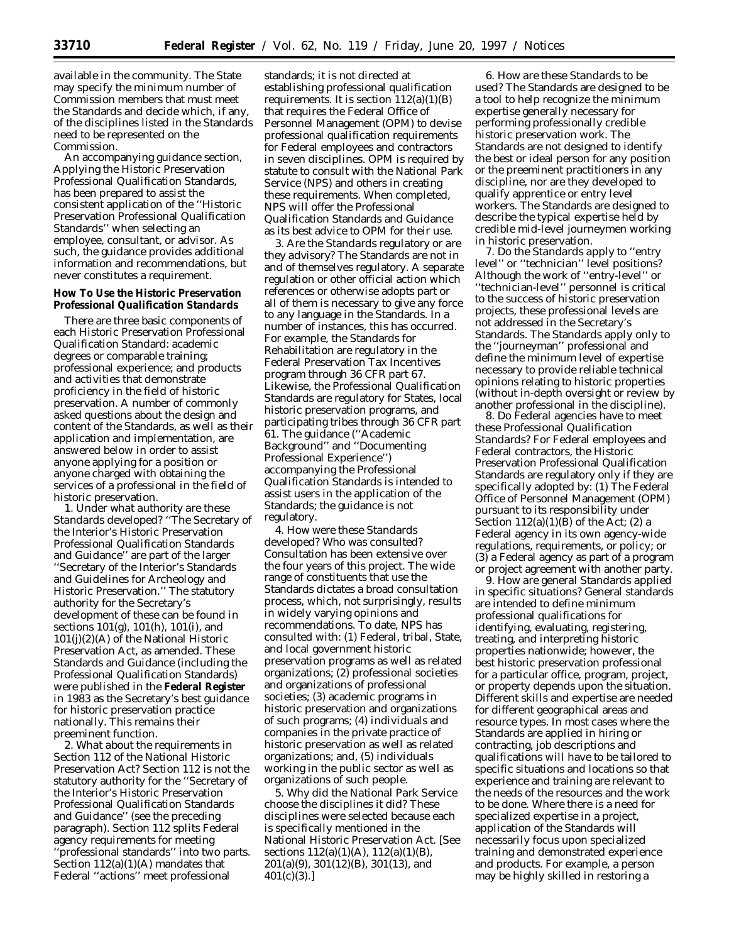available in the community. The State may specify the minimum number of Commission members that must meet the Standards and decide which, if any, of the disciplines listed in the Standards need to be represented on the Commission.

An accompanying guidance section, Applying the Historic Preservation Professional Qualification Standards, has been prepared to assist the consistent application of the ''Historic Preservation Professional Qualification Standards'' when selecting an employee, consultant, or advisor. As such, the guidance provides additional information and recommendations, but never constitutes a requirement.

## **How To Use the Historic Preservation Professional Qualification Standards**

There are three basic components of each Historic Preservation Professional Qualification Standard: academic degrees or comparable training; professional experience; and products and activities that demonstrate proficiency in the field of historic preservation. A number of commonly asked questions about the design and content of the Standards, as well as their application and implementation, are answered below in order to assist anyone applying for a position or anyone charged with obtaining the services of a professional in the field of historic preservation.

1. *Under what authority are these Standards developed?* ''The Secretary of the Interior's Historic Preservation Professional Qualification Standards and Guidance'' are part of the larger ''Secretary of the Interior's Standards and Guidelines for Archeology and Historic Preservation.'' The statutory authority for the Secretary's development of these can be found in sections 101(g), 101(h), 101(i), and 101(j)(2)(A) of the National Historic Preservation Act, as amended. These Standards and Guidance (including the Professional Qualification Standards) were published in the **Federal Register** in 1983 as the Secretary's best guidance for historic preservation practice nationally. This remains their preeminent function.

2. *What about the requirements in Section 112 of the National Historic Preservation Act?* Section 112 is not the statutory authority for the ''Secretary of the Interior's Historic Preservation Professional Qualification Standards and Guidance'' (see the preceding paragraph). Section 112 splits Federal agency requirements for meeting ''professional standards'' into two parts. Section 112(a)(1)(A) mandates that Federal ''actions'' meet professional

standards; it is not directed at establishing professional qualification requirements. It is section  $112(a)(1)(B)$ that requires the Federal Office of Personnel Management (OPM) to devise professional qualification requirements for Federal employees and contractors in seven disciplines. OPM is required by statute to consult with the National Park Service (NPS) and others in creating these requirements. When completed, NPS will offer the Professional Qualification Standards and Guidance as its best advice to OPM for their use.

3. *Are the Standards regulatory or are they advisory?* The Standards are not in and of themselves regulatory. A separate regulation or other official action which references or otherwise adopts part or all of them is necessary to give any force to any language in the Standards. In a number of instances, this has occurred. For example, the Standards for Rehabilitation are regulatory in the Federal Preservation Tax Incentives program through 36 CFR part 67. Likewise, the Professional Qualification Standards are regulatory for States, local historic preservation programs, and participating tribes through 36 CFR part 61. The guidance (''Academic Background'' and ''Documenting Professional Experience'') accompanying the Professional Qualification Standards is intended to assist users in the application of the Standards; the guidance is not regulatory.

4. *How were these Standards developed? Who was consulted?* Consultation has been extensive over the four years of this project. The wide range of constituents that use the Standards dictates a broad consultation process, which, not surprisingly, results in widely varying opinions and recommendations. To date, NPS has consulted with: (1) Federal, tribal, State, and local government historic preservation programs as well as related organizations; (2) professional societies and organizations of professional societies; (3) academic programs in historic preservation and organizations of such programs; (4) individuals and companies in the private practice of historic preservation as well as related organizations; and, (5) individuals working in the public sector as well as organizations of such people.

5. *Why did the National Park Service choose the disciplines it did?* These disciplines were selected because each is specifically mentioned in the National Historic Preservation Act. [See sections  $112(a)(1)(A)$ ,  $112(a)(1)(B)$ 201(a)(9), 301(12)(B), 301(13), and  $401(c)(3).$ 

6. *How are these Standards to be used?* The Standards are designed to be a tool to help recognize the minimum expertise generally necessary for performing professionally credible historic preservation work. The Standards are not designed to identify the best or ideal person for any position or the preeminent practitioners in any discipline, nor are they developed to qualify apprentice or entry level workers. The Standards are designed to describe the typical expertise held by credible mid-level journeymen working in historic preservation.

7. *Do the Standards apply to ''entry level'' or ''technician'' level positions?* Although the work of ''entry-level'' or ''technician-level'' personnel is critical to the success of historic preservation projects, these professional levels are not addressed in the Secretary's Standards. The Standards apply only to the ''journeyman'' professional and define the minimum level of expertise necessary to provide reliable technical opinions relating to historic properties (without in-depth oversight or review by another professional in the discipline).

8. *Do Federal agencies have to meet these Professional Qualification Standards?* For Federal employees and Federal contractors, the Historic Preservation Professional Qualification Standards are regulatory only if they are specifically adopted by: (1) The Federal Office of Personnel Management (OPM) pursuant to its responsibility under Section  $112(a)(1)(B)$  of the Act;  $(2)$  a Federal agency in its own agency-wide regulations, requirements, or policy; or (3) a Federal agency as part of a program or project agreement with another party.

9. *How are general Standards applied in specific situations?* General standards are intended to define minimum professional qualifications for identifying, evaluating, registering, treating, and interpreting historic properties nationwide; however, the best historic preservation professional for a particular office, program, project, or property depends upon the situation. Different skills and expertise are needed for different geographical areas and resource types. In most cases where the Standards are applied in hiring or contracting, job descriptions and qualifications will have to be tailored to specific situations and locations so that experience and training are relevant to the needs of the resources and the work to be done. Where there is a need for specialized expertise in a project, application of the Standards will necessarily focus upon specialized training and demonstrated experience and products. For example, a person may be highly skilled in restoring a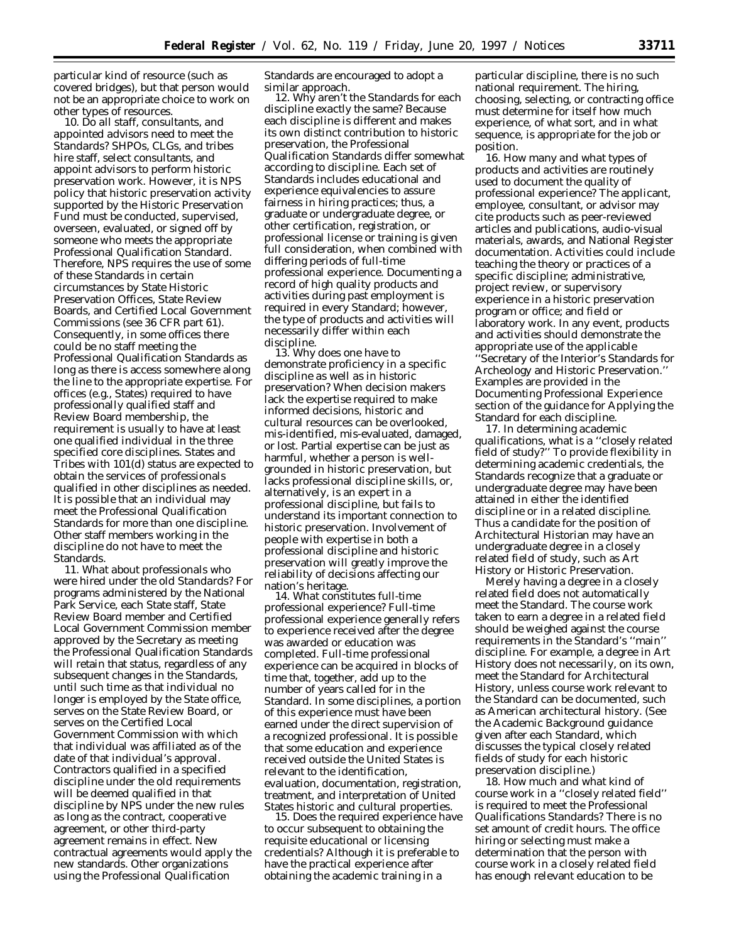particular kind of resource (such as covered bridges), but that person would not be an appropriate choice to work on other types of resources.

10. *Do all staff, consultants, and appointed advisors need to meet the Standards?* SHPOs, CLGs, and tribes hire staff, select consultants, and appoint advisors to perform historic preservation work. However, it is NPS policy that historic preservation activity supported by the Historic Preservation Fund must be conducted, supervised, overseen, evaluated, or signed off by someone who meets the appropriate Professional Qualification Standard. Therefore, NPS requires the use of some of these Standards in certain circumstances by State Historic Preservation Offices, State Review Boards, and Certified Local Government Commissions (see 36 CFR part 61). Consequently, in some offices there could be no staff meeting the Professional Qualification Standards as long as there is access somewhere along the line to the appropriate expertise. For offices (e.g., States) required to have professionally qualified staff and Review Board membership, the requirement is usually to have at least one qualified individual in the three specified core disciplines. States and Tribes with 101(d) status are expected to obtain the services of professionals qualified in other disciplines as needed. It is possible that an individual may meet the Professional Qualification Standards for more than one discipline. Other staff members working in the discipline do not have to meet the Standards.

11. *What about professionals who were hired under the old Standards?* For programs administered by the National Park Service, each State staff, State Review Board member and Certified Local Government Commission member approved by the Secretary as meeting the Professional Qualification Standards will retain that status, regardless of any subsequent changes in the Standards, until such time as that individual no longer is employed by the State office, serves on the State Review Board, or serves on the Certified Local Government Commission with which that individual was affiliated as of the date of that individual's approval. Contractors qualified in a specified discipline under the old requirements will be deemed qualified in that discipline by NPS under the new rules as long as the contract, cooperative agreement, or other third-party agreement remains in effect. New contractual agreements would apply the new standards. Other organizations using the Professional Qualification

Standards are encouraged to adopt a

similar approach. 12. *Why aren't the Standards for each discipline exactly the same?* Because each discipline is different and makes its own distinct contribution to historic preservation, the Professional Qualification Standards differ somewhat according to discipline. Each set of Standards includes educational and experience equivalencies to assure fairness in hiring practices; thus, a graduate or undergraduate degree, or other certification, registration, or professional license or training is given full consideration, when combined with differing periods of full-time professional experience. Documenting a record of high quality products and activities during past employment is required in every Standard; however, the type of products and activities will necessarily differ within each

discipline. 13. *Why does one have to demonstrate proficiency in a specific discipline as well as in historic preservation?* When decision makers lack the expertise required to make informed decisions, historic and cultural resources can be overlooked, mis-identified, mis-evaluated, damaged, or lost. Partial expertise can be just as harmful, whether a person is wellgrounded in historic preservation, but lacks professional discipline skills, or, alternatively, is an expert in a professional discipline, but fails to understand its important connection to historic preservation. Involvement of people with expertise in both a professional discipline and historic preservation will greatly improve the reliability of decisions affecting our nation's heritage. 14. *What constitutes full-time*

*professional experience?* Full-time professional experience generally refers to experience received after the degree was awarded or education was completed. Full-time professional experience can be acquired in blocks of time that, together, add up to the number of years called for in the Standard. In some disciplines, a portion of this experience must have been earned under the direct supervision of a recognized professional. It is possible that some education and experience received outside the United States is relevant to the identification, evaluation, documentation, registration, treatment, and interpretation of United

States historic and cultural properties. 15. *Does the required experience have to occur subsequent to obtaining the requisite educational or licensing credentials?* Although it is preferable to have the practical experience after obtaining the academic training in a

particular discipline, there is no such national requirement. The hiring, choosing, selecting, or contracting office must determine for itself how much experience, of what sort, and in what sequence, is appropriate for the job or position.

16. *How many and what types of products and activities are routinely used to document the quality of professional experience?* The applicant, employee, consultant, or advisor may cite products such as peer-reviewed articles and publications, audio-visual materials, awards, and National Register documentation. Activities could include teaching the theory or practices of a specific discipline; administrative, project review, or supervisory experience in a historic preservation program or office; and field or laboratory work. In any event, products and activities should demonstrate the appropriate use of the applicable 'Secretary of the Interior's Standards for Archeology and Historic Preservation.'' Examples are provided in the Documenting Professional Experience section of the guidance for Applying the Standard for each discipline.

17. *In determining academic qualifications, what is a ''closely related field of study?''* To provide flexibility in determining academic credentials, the Standards recognize that a graduate or undergraduate degree may have been attained in either the identified discipline or in a related discipline. Thus a candidate for the position of Architectural Historian may have an undergraduate degree in a closely related field of study, such as Art History or Historic Preservation.

Merely having a degree in a closely related field does not automatically meet the Standard. The course work taken to earn a degree in a related field should be weighed against the course requirements in the Standard's ''main'' discipline. For example, a degree in Art History does not necessarily, on its own, meet the Standard for Architectural History, unless course work relevant to the Standard can be documented, such as American architectural history. (See the Academic Background guidance given after each Standard, which discusses the typical closely related fields of study for each historic preservation discipline.)

18. *How much and what kind of course work in a ''closely related field'' is required to meet the Professional Qualifications Standards?* There is no set amount of credit hours. The office hiring or selecting must make a determination that the person with course work in a closely related field has enough relevant education to be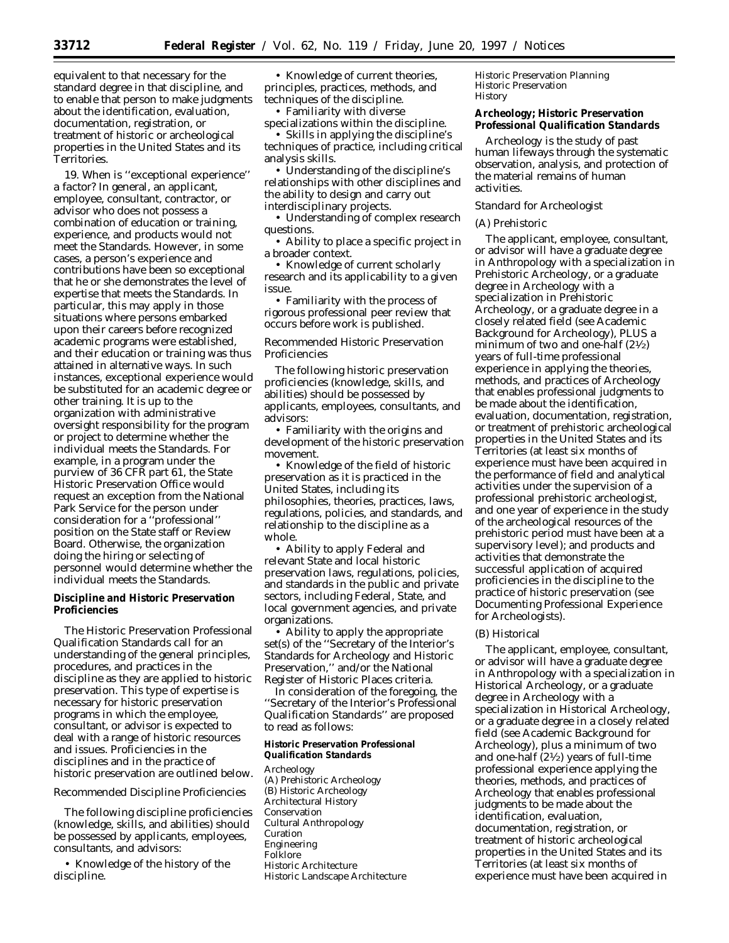equivalent to that necessary for the standard degree in that discipline, and to enable that person to make judgments about the identification, evaluation, documentation, registration, or treatment of historic or archeological properties in the United States and its Territories.

19. *When is ''exceptional experience'' a factor?* In general, an applicant, employee, consultant, contractor, or advisor who does not possess a combination of education or training, experience, and products would not meet the Standards. However, in some cases, a person's experience and contributions have been so exceptional that he or she demonstrates the level of expertise that meets the Standards. In particular, this may apply in those situations where persons embarked upon their careers before recognized academic programs were established, and their education or training was thus attained in alternative ways. In such instances, exceptional experience would be substituted for an academic degree or other training. It is up to the organization with administrative oversight responsibility for the program or project to determine whether the individual meets the Standards. For example, in a program under the purview of 36 CFR part 61, the State Historic Preservation Office would request an exception from the National Park Service for the person under consideration for a ''professional'' position on the State staff or Review Board. Otherwise, the organization doing the hiring or selecting of personnel would determine whether the individual meets the Standards.

## **Discipline and Historic Preservation Proficiencies**

The Historic Preservation Professional Qualification Standards call for an understanding of the general principles, procedures, and practices in the discipline as they are applied to historic preservation. This type of expertise is necessary for historic preservation programs in which the employee, consultant, or advisor is expected to deal with a range of historic resources and issues. Proficiencies in the disciplines and in the practice of historic preservation are outlined below.

## *Recommended Discipline Proficiencies*

The following discipline proficiencies (knowledge, skills, and abilities) should be possessed by applicants, employees, consultants, and advisors:

• Knowledge of the history of the discipline.

• Knowledge of current theories, principles, practices, methods, and techniques of the discipline.

• Familiarity with diverse specializations within the discipline.

• Skills in applying the discipline's techniques of practice, including critical analysis skills.

• Understanding of the discipline's relationships with other disciplines and the ability to design and carry out interdisciplinary projects.

• Understanding of complex research questions.

• Ability to place a specific project in a broader context.

• Knowledge of current scholarly research and its applicability to a given issue.

• Familiarity with the process of rigorous professional peer review that occurs before work is published.

## *Recommended Historic Preservation Proficiencies*

The following historic preservation proficiencies (knowledge, skills, and abilities) should be possessed by applicants, employees, consultants, and advisors:

• Familiarity with the origins and development of the historic preservation movement.

• Knowledge of the field of historic preservation as it is practiced in the United States, including its philosophies, theories, practices, laws, regulations, policies, and standards, and relationship to the discipline as a whole.

• Ability to apply Federal and relevant State and local historic preservation laws, regulations, policies, and standards in the public and private sectors, including Federal, State, and local government agencies, and private organizations.

• Ability to apply the appropriate set(s) of the ''Secretary of the Interior's Standards for Archeology and Historic Preservation,'' and/or the National Register of Historic Places criteria.

In consideration of the foregoing, the ''Secretary of the Interior's Professional Qualification Standards'' are proposed to read as follows:

### **Historic Preservation Professional Qualification Standards**

Archeology (A) Prehistoric Archeology (B) Historic Archeology Architectural History Conservation Cultural Anthropology Curation Engineering Folklore Historic Architecture Historic Landscape Architecture

Historic Preservation Planning Historic Preservation **History** 

### **Archeology; Historic Preservation Professional Qualification Standards**

Archeology is the study of past human lifeways through the systematic observation, analysis, and protection of the material remains of human activities.

#### *Standard for Archeologist*

## (A) Prehistoric

The applicant, employee, consultant, or advisor will have a graduate degree in Anthropology with a specialization in Prehistoric Archeology, or a graduate degree in Archeology with a specialization in Prehistoric Archeology, or a graduate degree in a closely related field (see Academic Background for Archeology), PLUS a minimum of two and one-half (21⁄2) years of full-time professional experience in applying the theories, methods, and practices of Archeology that enables professional judgments to be made about the identification, evaluation, documentation, registration, or treatment of prehistoric archeological properties in the United States and its Territories (at least six months of experience must have been acquired in the performance of field and analytical activities under the supervision of a professional prehistoric archeologist, and one year of experience in the study of the archeological resources of the prehistoric period must have been at a supervisory level); and products and activities that demonstrate the successful application of acquired proficiencies in the discipline to the practice of historic preservation (see Documenting Professional Experience for Archeologists).

### (B) Historical

The applicant, employee, consultant, or advisor will have a graduate degree in Anthropology with a specialization in Historical Archeology, or a graduate degree in Archeology with a specialization in Historical Archeology, or a graduate degree in a closely related field (see Academic Background for Archeology), plus a minimum of two and one-half  $(2\frac{1}{2})$  years of full-time professional experience applying the theories, methods, and practices of Archeology that enables professional judgments to be made about the identification, evaluation, documentation, registration, or treatment of historic archeological properties in the United States and its Territories (at least six months of experience must have been acquired in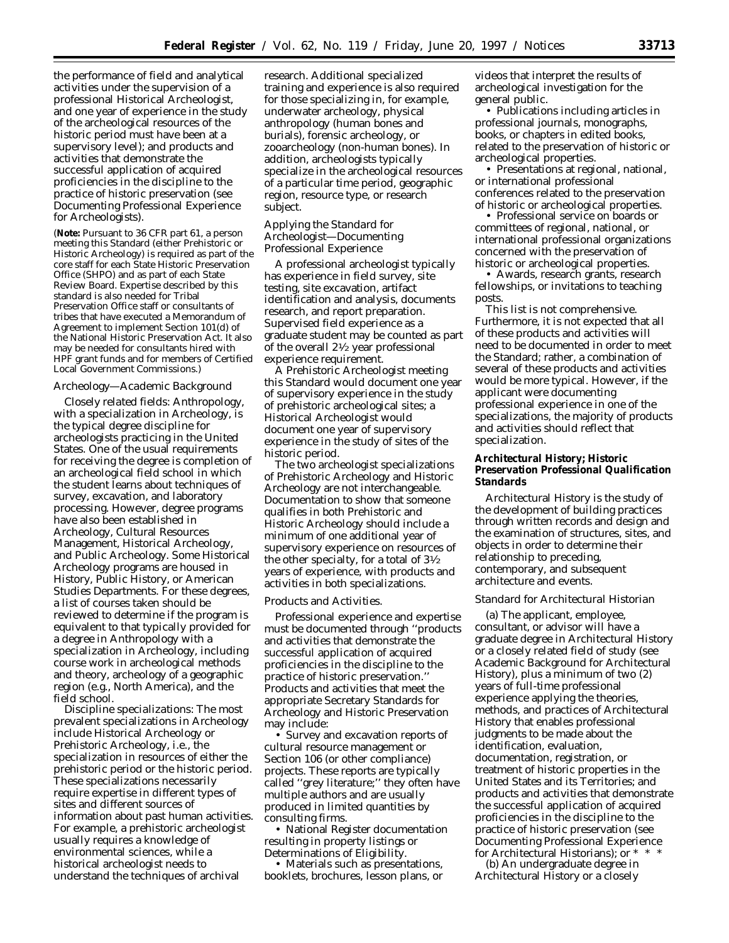the performance of field and analytical activities under the supervision of a professional Historical Archeologist, and one year of experience in the study of the archeological resources of the historic period must have been at a supervisory level); and products and activities that demonstrate the successful application of acquired proficiencies in the discipline to the practice of historic preservation (see Documenting Professional Experience for Archeologists).

(**Note:** Pursuant to 36 CFR part 61, a person meeting this Standard (either Prehistoric or Historic Archeology) is required as part of the core staff for each State Historic Preservation Office (SHPO) and as part of each State Review Board. Expertise described by this standard is also needed for Tribal Preservation Office staff or consultants of tribes that have executed a Memorandum of Agreement to implement Section 101(d) of the National Historic Preservation Act. It also may be needed for consultants hired with HPF grant funds and for members of Certified Local Government Commissions.)

### *Archeology—Academic Background*

*Closely related fields:* Anthropology, with a specialization in Archeology, is the typical degree discipline for archeologists practicing in the United States. One of the usual requirements for receiving the degree is completion of an archeological field school in which the student learns about techniques of survey, excavation, and laboratory processing. However, degree programs have also been established in Archeology, Cultural Resources Management, Historical Archeology, and Public Archeology. Some Historical Archeology programs are housed in History, Public History, or American Studies Departments. For these degrees, a list of courses taken should be reviewed to determine if the program is equivalent to that typically provided for a degree in Anthropology with a specialization in Archeology, including course work in archeological methods and theory, archeology of a geographic region (e.g., North America), and the field school.

*Discipline specializations:* The most prevalent specializations in Archeology include Historical Archeology or Prehistoric Archeology, i.e., the specialization in resources of either the prehistoric period or the historic period. These specializations necessarily require expertise in different types of sites and different sources of information about past human activities. For example, a prehistoric archeologist usually requires a knowledge of environmental sciences, while a historical archeologist needs to understand the techniques of archival

research. Additional specialized training and experience is also required for those specializing in, for example, underwater archeology, physical anthropology (human bones and burials), forensic archeology, or zooarcheology (non-human bones). In addition, archeologists typically specialize in the archeological resources of a particular time period, geographic region, resource type, or research subject.

## *Applying the Standard for Archeologist—Documenting Professional Experience*

A professional archeologist typically has experience in field survey, site testing, site excavation, artifact identification and analysis, documents research, and report preparation. Supervised field experience as a graduate student may be counted as part of the overall 21⁄2 year professional experience requirement.

A Prehistoric Archeologist meeting this Standard would document one year of supervisory experience in the study of prehistoric archeological sites; a Historical Archeologist would document one year of supervisory experience in the study of sites of the historic period.

The two archeologist specializations of Prehistoric Archeology and Historic Archeology are not interchangeable. Documentation to show that someone qualifies in both Prehistoric and Historic Archeology should include a minimum of one additional year of supervisory experience on resources of the other specialty, for a total of 31⁄2 years of experience, with products and activities in both specializations.

#### Products and Activities.

Professional experience and expertise must be documented through ''products and activities that demonstrate the successful application of acquired proficiencies in the discipline to the practice of historic preservation.'' Products and activities that meet the appropriate Secretary Standards for Archeology and Historic Preservation may include:

• Survey and excavation reports of cultural resource management or Section 106 (or other compliance) projects. These reports are typically called ''grey literature;'' they often have multiple authors and are usually produced in limited quantities by consulting firms.

• National Register documentation resulting in property listings or Determinations of Eligibility.

• Materials such as presentations, booklets, brochures, lesson plans, or

videos that interpret the results of archeological investigation for the general public.

• Publications including articles in professional journals, monographs, books, or chapters in edited books, related to the preservation of historic or archeological properties.

• Presentations at regional, national, or international professional conferences related to the preservation of historic or archeological properties.

• Professional service on boards or committees of regional, national, or international professional organizations concerned with the preservation of historic or archeological properties.

• Awards, research grants, research fellowships, or invitations to teaching posts.

This list is not comprehensive. Furthermore, it is not expected that all of these products and activities will need to be documented in order to meet the Standard; rather, a combination of several of these products and activities would be more typical. However, if the applicant were documenting professional experience in one of the specializations, the majority of products and activities should reflect that specialization.

## **Architectural History; Historic Preservation Professional Qualification Standards**

Architectural History is the study of the development of building practices through written records and design and the examination of structures, sites, and objects in order to determine their relationship to preceding, contemporary, and subsequent architecture and events.

#### *Standard for Architectural Historian*

(a) The applicant, employee, consultant, or advisor will have a graduate degree in Architectural History or a closely related field of study (see Academic Background for Architectural History), plus a minimum of two (2) years of full-time professional experience applying the theories, methods, and practices of Architectural History that enables professional judgments to be made about the identification, evaluation, documentation, registration, or treatment of historic properties in the United States and its Territories; and products and activities that demonstrate the successful application of acquired proficiencies in the discipline to the practice of historic preservation (see Documenting Professional Experience for Architectural Historians); or  $*$ 

(b) An undergraduate degree in Architectural History or a closely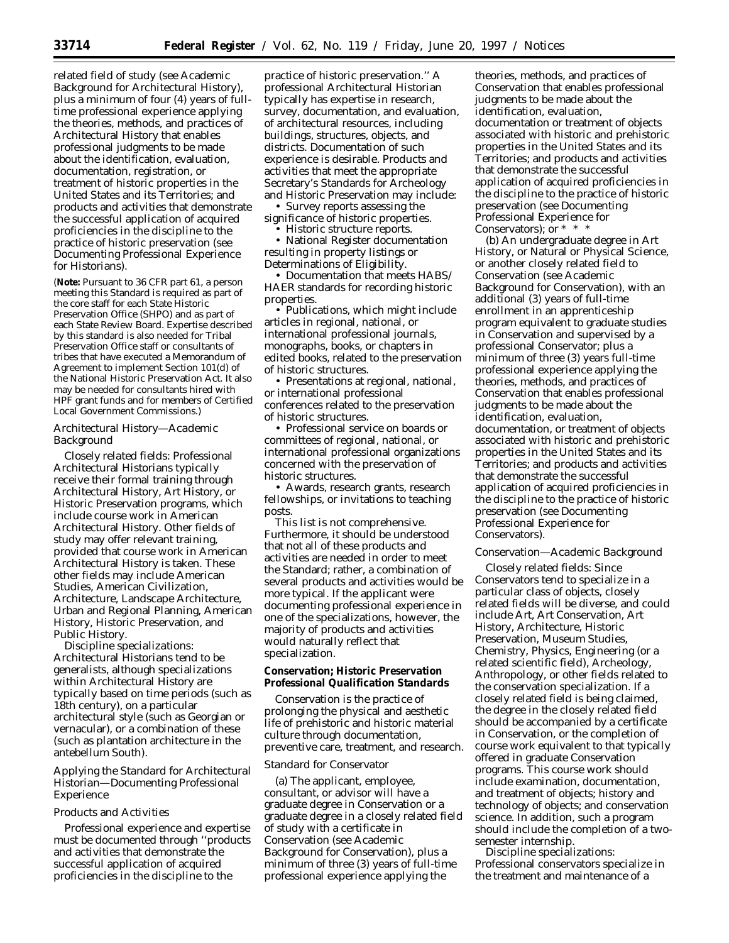related field of study (see Academic Background for Architectural History), plus a minimum of four (4) years of fulltime professional experience applying the theories, methods, and practices of Architectural History that enables professional judgments to be made about the identification, evaluation, documentation, registration, or treatment of historic properties in the United States and its Territories; and products and activities that demonstrate the successful application of acquired proficiencies in the discipline to the practice of historic preservation (see Documenting Professional Experience for Historians).

(**Note:** Pursuant to 36 CFR part 61, a person meeting this Standard is required as part of the core staff for each State Historic Preservation Office (SHPO) and as part of each State Review Board. Expertise described by this standard is also needed for Tribal Preservation Office staff or consultants of tribes that have executed a Memorandum of Agreement to implement Section 101(d) of the National Historic Preservation Act. It also may be needed for consultants hired with HPF grant funds and for members of Certified Local Government Commissions.)

### *Architectural History—Academic Background*

*Closely related fields:* Professional Architectural Historians typically receive their formal training through Architectural History, Art History, or Historic Preservation programs, which include course work in American Architectural History. Other fields of study may offer relevant training, provided that course work in American Architectural History is taken. These other fields may include American Studies, American Civilization, Architecture, Landscape Architecture, Urban and Regional Planning, American History, Historic Preservation, and Public History.

*Discipline specializations:* Architectural Historians tend to be generalists, although specializations within Architectural History are typically based on time periods (such as 18th century), on a particular architectural style (such as Georgian or vernacular), or a combination of these (such as plantation architecture in the antebellum South).

# *Applying the Standard for Architectural Historian—Documenting Professional Experience*

### Products and Activities

Professional experience and expertise must be documented through ''products and activities that demonstrate the successful application of acquired proficiencies in the discipline to the

practice of historic preservation.'' A professional Architectural Historian typically has expertise in research, survey, documentation, and evaluation, of architectural resources, including buildings, structures, objects, and districts. Documentation of such experience is desirable. Products and activities that meet the appropriate Secretary's Standards for Archeology and Historic Preservation may include:

• Survey reports assessing the significance of historic properties.

• Historic structure reports.

• National Register documentation resulting in property listings or Determinations of Eligibility.

• Documentation that meets HABS/ HAER standards for recording historic properties.

• Publications, which might include articles in regional, national, or international professional journals, monographs, books, or chapters in edited books, related to the preservation of historic structures.

• Presentations at regional, national, or international professional conferences related to the preservation of historic structures.

• Professional service on boards or committees of regional, national, or international professional organizations concerned with the preservation of historic structures.

• Awards, research grants, research fellowships, or invitations to teaching posts.

This list is not comprehensive. Furthermore, it should be understood that not all of these products and activities are needed in order to meet the Standard; rather, a combination of several products and activities would be more typical. If the applicant were documenting professional experience in one of the specializations, however, the majority of products and activities would naturally reflect that specialization.

### **Conservation; Historic Preservation Professional Qualification Standards**

Conservation is the practice of prolonging the physical and aesthetic life of prehistoric and historic material culture through documentation, preventive care, treatment, and research.

### *Standard for Conservator*

(a) The applicant, employee, consultant, or advisor will have a graduate degree in Conservation or a graduate degree in a closely related field of study with a certificate in Conservation (see Academic Background for Conservation), plus a minimum of three (3) years of full-time professional experience applying the

theories, methods, and practices of Conservation that enables professional judgments to be made about the identification, evaluation, documentation or treatment of objects associated with historic and prehistoric properties in the United States and its Territories; and products and activities that demonstrate the successful application of acquired proficiencies in the discipline to the practice of historic preservation (see Documenting Professional Experience for Conservators); or \* \* \*

(b) An undergraduate degree in Art History, or Natural or Physical Science, or another closely related field to Conservation (see Academic Background for Conservation), with an additional (3) years of full-time enrollment in an apprenticeship program equivalent to graduate studies in Conservation and supervised by a professional Conservator; plus a minimum of three (3) years full-time professional experience applying the theories, methods, and practices of Conservation that enables professional judgments to be made about the identification, evaluation, documentation, or treatment of objects associated with historic and prehistoric properties in the United States and its Territories; and products and activities that demonstrate the successful application of acquired proficiencies in the discipline to the practice of historic preservation (see Documenting Professional Experience for Conservators).

### *Conservation—Academic Background*

*Closely related fields:* Since Conservators tend to specialize in a particular class of objects, closely related fields will be diverse, and could include Art, Art Conservation, Art History, Architecture, Historic Preservation, Museum Studies, Chemistry, Physics, Engineering (or a related scientific field), Archeology, Anthropology, or other fields related to the conservation specialization. If a closely related field is being claimed, the degree in the closely related field should be accompanied by a certificate in Conservation, or the completion of course work equivalent to that typically offered in graduate Conservation programs. This course work should include examination, documentation, and treatment of objects; history and technology of objects; and conservation science. In addition, such a program should include the completion of a twosemester internship.

*Discipline specializations:* Professional conservators specialize in the treatment and maintenance of a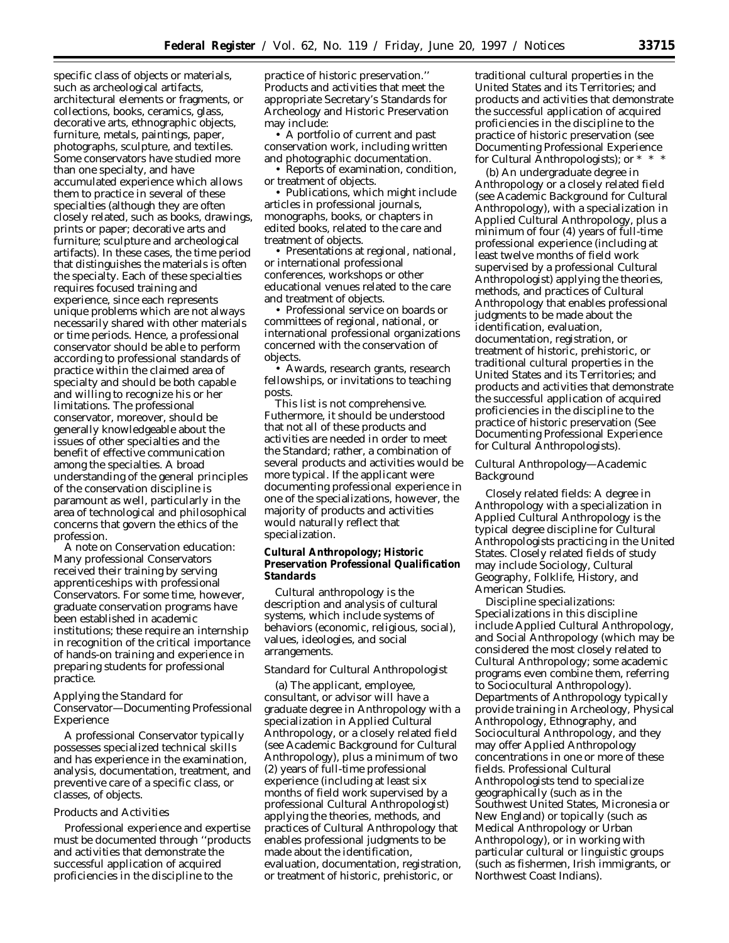specific class of objects or materials, such as archeological artifacts, architectural elements or fragments, or collections, books, ceramics, glass, decorative arts, ethnographic objects, furniture, metals, paintings, paper, photographs, sculpture, and textiles. Some conservators have studied more than one specialty, and have accumulated experience which allows them to practice in several of these specialties (although they are often closely related, such as books, drawings, prints or paper; decorative arts and furniture; sculpture and archeological artifacts). In these cases, the time period that distinguishes the materials is often the specialty. Each of these specialties requires focused training and experience, since each represents unique problems which are not always necessarily shared with other materials or time periods. Hence, a professional conservator should be able to perform according to professional standards of practice within the claimed area of specialty and should be both capable and willing to recognize his or her limitations. The professional conservator, moreover, should be generally knowledgeable about the issues of other specialties and the benefit of effective communication among the specialties. A broad understanding of the general principles of the conservation discipline is paramount as well, particularly in the area of technological and philosophical concerns that govern the ethics of the profession.

*A note on Conservation education:* Many professional Conservators received their training by serving apprenticeships with professional Conservators. For some time, however, graduate conservation programs have been established in academic institutions; these require an internship in recognition of the critical importance of hands-on training and experience in preparing students for professional practice.

### *Applying the Standard for Conservator—Documenting Professional Experience*

A professional Conservator typically possesses specialized technical skills and has experience in the examination, analysis, documentation, treatment, and preventive care of a specific class, or classes, of objects.

## Products and Activities

Professional experience and expertise must be documented through ''products and activities that demonstrate the successful application of acquired proficiencies in the discipline to the

practice of historic preservation.'' Products and activities that meet the appropriate Secretary's Standards for Archeology and Historic Preservation may include:

• A portfolio of current and past conservation work, including written and photographic documentation.

• Reports of examination, condition, or treatment of objects.

• Publications, which might include articles in professional journals, monographs, books, or chapters in edited books, related to the care and treatment of objects.

• Presentations at regional, national, or international professional conferences, workshops or other educational venues related to the care and treatment of objects.

• Professional service on boards or committees of regional, national, or international professional organizations concerned with the conservation of objects.

• Awards, research grants, research fellowships, or invitations to teaching posts.

This list is not comprehensive. Futhermore, it should be understood that not all of these products and activities are needed in order to meet the Standard; rather, a combination of several products and activities would be more typical. If the applicant were documenting professional experience in one of the specializations, however, the majority of products and activities would naturally reflect that specialization.

# **Cultural Anthropology; Historic Preservation Professional Qualification Standards**

Cultural anthropology is the description and analysis of cultural systems, which include systems of behaviors (economic, religious, social), values, ideologies, and social arrangements.

### *Standard for Cultural Anthropologist*

(a) The applicant, employee, consultant, or advisor will have a graduate degree in Anthropology with a specialization in Applied Cultural Anthropology, or a closely related field (see Academic Background for Cultural Anthropology), plus a minimum of two (2) years of full-time professional experience (including at least six months of field work supervised by a professional Cultural Anthropologist) applying the theories, methods, and practices of Cultural Anthropology that enables professional judgments to be made about the identification, evaluation, documentation, registration, or treatment of historic, prehistoric, or

traditional cultural properties in the United States and its Territories; and products and activities that demonstrate the successful application of acquired proficiencies in the discipline to the practice of historic preservation (see Documenting Professional Experience for Cultural Anthropologists); or \* \* \*

(b) An undergraduate degree in Anthropology or a closely related field (see Academic Background for Cultural Anthropology), with a specialization in Applied Cultural Anthropology, plus a minimum of four (4) years of full-time professional experience (including at least twelve months of field work supervised by a professional Cultural Anthropologist) applying the theories, methods, and practices of Cultural Anthropology that enables professional judgments to be made about the identification, evaluation, documentation, registration, or treatment of historic, prehistoric, or traditional cultural properties in the United States and its Territories; and products and activities that demonstrate the successful application of acquired proficiencies in the discipline to the practice of historic preservation (See Documenting Professional Experience for Cultural Anthropologists).

## *Cultural Anthropology—Academic Background*

*Closely related fields:* A degree in Anthropology with a specialization in Applied Cultural Anthropology is the typical degree discipline for Cultural Anthropologists practicing in the United States. Closely related fields of study may include Sociology, Cultural Geography, Folklife, History, and American Studies.

*Discipline specializations:* Specializations in this discipline include Applied Cultural Anthropology, and Social Anthropology (which may be considered the most closely related to Cultural Anthropology; some academic programs even combine them, referring to Sociocultural Anthropology). Departments of Anthropology typically provide training in Archeology, Physical Anthropology, Ethnography, and Sociocultural Anthropology, and they may offer Applied Anthropology concentrations in one or more of these fields. Professional Cultural Anthropologists tend to specialize geographically (such as in the Southwest United States, Micronesia or New England) or topically (such as Medical Anthropology or Urban Anthropology), or in working with particular cultural or linguistic groups (such as fishermen, Irish immigrants, or Northwest Coast Indians).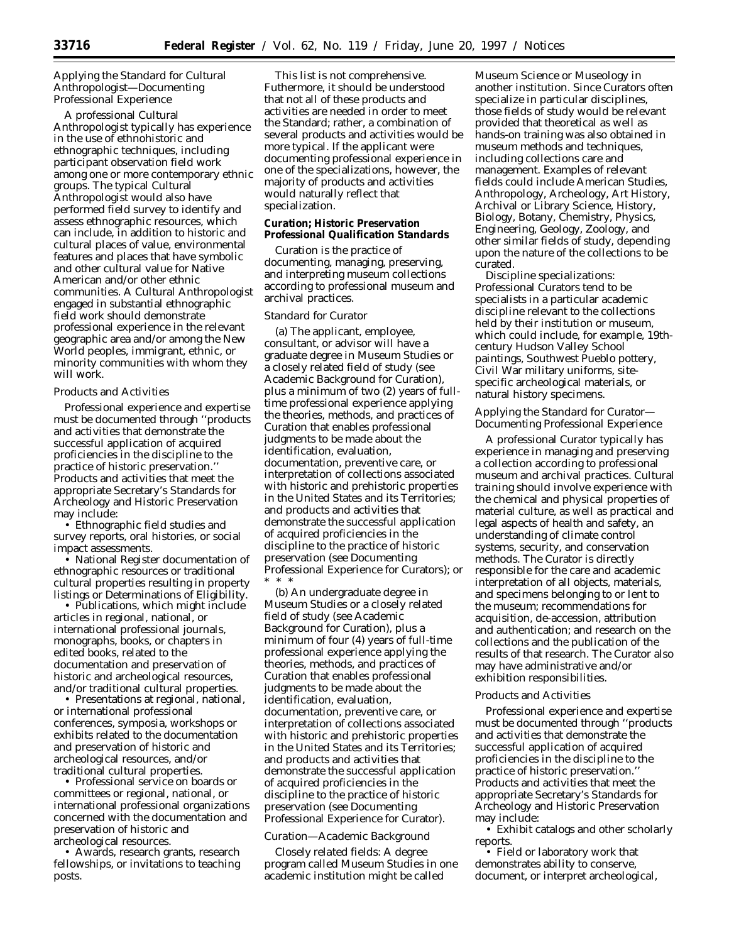# *Applying the Standard for Cultural Anthropologist—Documenting Professional Experience*

A professional Cultural Anthropologist typically has experience in the use of ethnohistoric and ethnographic techniques, including participant observation field work among one or more contemporary ethnic groups. The typical Cultural Anthropologist would also have performed field survey to identify and assess ethnographic resources, which can include, in addition to historic and cultural places of value, environmental features and places that have symbolic and other cultural value for Native American and/or other ethnic communities. A Cultural Anthropologist engaged in substantial ethnographic field work should demonstrate professional experience in the relevant geographic area and/or among the New World peoples, immigrant, ethnic, or minority communities with whom they will work.

### Products and Activities

Professional experience and expertise must be documented through ''products and activities that demonstrate the successful application of acquired proficiencies in the discipline to the practice of historic preservation.'' Products and activities that meet the appropriate Secretary's Standards for Archeology and Historic Preservation may include:

• Ethnographic field studies and survey reports, oral histories, or social impact assessments.

• National Register documentation of ethnographic resources or traditional cultural properties resulting in property listings or Determinations of Eligibility.

• Publications, which might include articles in regional, national, or international professional journals, monographs, books, or chapters in edited books, related to the documentation and preservation of historic and archeological resources, and/or traditional cultural properties.

• Presentations at regional, national, or international professional conferences, symposia, workshops or exhibits related to the documentation and preservation of historic and archeological resources, and/or traditional cultural properties.

• Professional service on boards or committees or regional, national, or international professional organizations concerned with the documentation and preservation of historic and archeological resources.

• Awards, research grants, research fellowships, or invitations to teaching posts.

This list is not comprehensive. Futhermore, it should be understood that not all of these products and activities are needed in order to meet the Standard; rather, a combination of several products and activities would be more typical. If the applicant were documenting professional experience in one of the specializations, however, the majority of products and activities would naturally reflect that specialization.

### **Curation; Historic Preservation Professional Qualification Standards**

Curation is the practice of documenting, managing, preserving, and interpreting museum collections according to professional museum and archival practices.

### *Standard for Curator*

(a) The applicant, employee, consultant, or advisor will have a graduate degree in Museum Studies or a closely related field of study (see Academic Background for Curation), plus a minimum of two (2) years of fulltime professional experience applying the theories, methods, and practices of Curation that enables professional judgments to be made about the identification, evaluation, documentation, preventive care, or interpretation of collections associated with historic and prehistoric properties in the United States and its Territories; and products and activities that demonstrate the successful application of acquired proficiencies in the discipline to the practice of historic preservation (see Documenting Professional Experience for Curators); or \* \* \*

(b) An undergraduate degree in Museum Studies or a closely related field of study (see Academic Background for Curation), plus a minimum of four (4) years of full-time professional experience applying the theories, methods, and practices of Curation that enables professional judgments to be made about the identification, evaluation, documentation, preventive care, or interpretation of collections associated with historic and prehistoric properties in the United States and its Territories; and products and activities that demonstrate the successful application of acquired proficiencies in the discipline to the practice of historic preservation (see Documenting Professional Experience for Curator).

### *Curation—Academic Background*

*Closely related fields:* A degree program called Museum Studies in one academic institution might be called

Museum Science or Museology in another institution. Since Curators often specialize in particular disciplines, those fields of study would be relevant provided that theoretical as well as hands-on training was also obtained in museum methods and techniques, including collections care and management. Examples of relevant fields could include American Studies, Anthropology, Archeology, Art History, Archival or Library Science, History, Biology, Botany, Chemistry, Physics, Engineering, Geology, Zoology, and other similar fields of study, depending upon the nature of the collections to be curated.

*Discipline specializations:* Professional Curators tend to be specialists in a particular academic discipline relevant to the collections held by their institution or museum, which could include, for example, 19thcentury Hudson Valley School paintings, Southwest Pueblo pottery, Civil War military uniforms, sitespecific archeological materials, or natural history specimens.

### *Applying the Standard for Curator— Documenting Professional Experience*

A professional Curator typically has experience in managing and preserving a collection according to professional museum and archival practices. Cultural training should involve experience with the chemical and physical properties of material culture, as well as practical and legal aspects of health and safety, an understanding of climate control systems, security, and conservation methods. The Curator is directly responsible for the care and academic interpretation of all objects, materials, and specimens belonging to or lent to the museum; recommendations for acquisition, de-accession, attribution and authentication; and research on the collections and the publication of the results of that research. The Curator also may have administrative and/or exhibition responsibilities.

### Products and Activities

Professional experience and expertise must be documented through ''products and activities that demonstrate the successful application of acquired proficiencies in the discipline to the practice of historic preservation.'' Products and activities that meet the appropriate Secretary's Standards for Archeology and Historic Preservation may include:

• Exhibit catalogs and other scholarly reports.

• Field or laboratory work that demonstrates ability to conserve, document, or interpret archeological,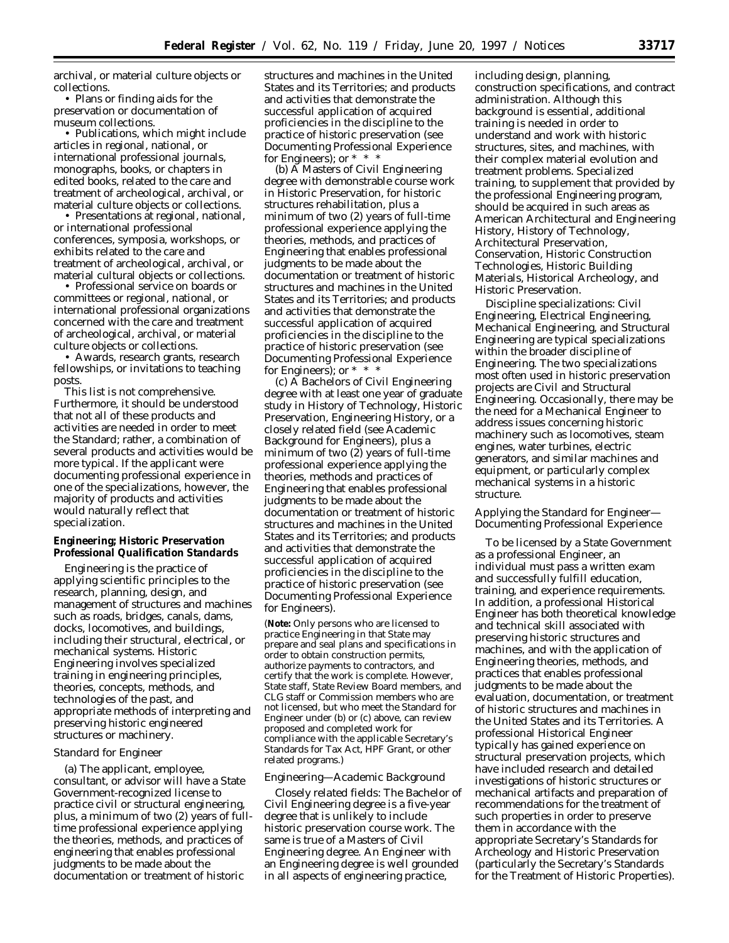archival, or material culture objects or collections.

• Plans or finding aids for the preservation or documentation of museum collections.

• Publications, which might include articles in regional, national, or international professional journals, monographs, books, or chapters in edited books, related to the care and treatment of archeological, archival, or material culture objects or collections.

• Presentations at regional, national, or international professional conferences, symposia, workshops, or exhibits related to the care and treatment of archeological, archival, or material cultural objects or collections.

• Professional service on boards or committees or regional, national, or international professional organizations concerned with the care and treatment of archeological, archival, or material culture objects or collections.

• Awards, research grants, research fellowships, or invitations to teaching posts.

This list is not comprehensive. Furthermore, it should be understood that not all of these products and activities are needed in order to meet the Standard; rather, a combination of several products and activities would be more typical. If the applicant were documenting professional experience in one of the specializations, however, the majority of products and activities would naturally reflect that specialization.

# **Engineering; Historic Preservation Professional Qualification Standards**

Engineering is the practice of applying scientific principles to the research, planning, design, and management of structures and machines such as roads, bridges, canals, dams, docks, locomotives, and buildings, including their structural, electrical, or mechanical systems. Historic Engineering involves specialized training in engineering principles, theories, concepts, methods, and technologies of the past, and appropriate methods of interpreting and preserving historic engineered structures or machinery.

## *Standard for Engineer*

(a) The applicant, employee, consultant, or advisor will have a State Government-recognized license to practice civil or structural engineering, plus, a minimum of two (2) years of fulltime professional experience applying the theories, methods, and practices of engineering that enables professional judgments to be made about the documentation or treatment of historic

structures and machines in the United States and its Territories; and products and activities that demonstrate the successful application of acquired proficiencies in the discipline to the practice of historic preservation (see Documenting Professional Experience for Engineers); or  $* * *$ 

(b) A Masters of Civil Engineering degree with demonstrable course work in Historic Preservation, for historic structures rehabilitation, plus a minimum of two (2) years of full-time professional experience applying the theories, methods, and practices of Engineering that enables professional judgments to be made about the documentation or treatment of historic structures and machines in the United States and its Territories; and products and activities that demonstrate the successful application of acquired proficiencies in the discipline to the practice of historic preservation (see Documenting Professional Experience for Engineers); or  $* * *$ 

(c) A Bachelors of Civil Engineering degree with at least one year of graduate study in History of Technology, Historic Preservation, Engineering History, or a closely related field (see Academic Background for Engineers), plus a minimum of two (2) years of full-time professional experience applying the theories, methods and practices of Engineering that enables professional judgments to be made about the documentation or treatment of historic structures and machines in the United States and its Territories; and products and activities that demonstrate the successful application of acquired proficiencies in the discipline to the practice of historic preservation (see Documenting Professional Experience for Engineers).

(**Note:** Only persons who are licensed to practice Engineering in that State may prepare and seal plans and specifications in order to obtain construction permits, authorize payments to contractors, and certify that the work is complete. However, State staff, State Review Board members, and CLG staff or Commission members who are not licensed, but who meet the Standard for Engineer under (b) or (c) above, can review proposed and completed work for compliance with the applicable Secretary's Standards for Tax Act, HPF Grant, or other related programs.)

### *Engineering—Academic Background*

*Closely related fields:* The Bachelor of Civil Engineering degree is a five-year degree that is unlikely to include historic preservation course work. The same is true of a Masters of Civil Engineering degree. An Engineer with an Engineering degree is well grounded in all aspects of engineering practice,

including design, planning, construction specifications, and contract administration. Although this background is essential, additional training is needed in order to understand and work with historic structures, sites, and machines, with their complex material evolution and treatment problems. Specialized training, to supplement that provided by the professional Engineering program, should be acquired in such areas as American Architectural and Engineering History, History of Technology, Architectural Preservation, Conservation, Historic Construction Technologies, Historic Building Materials, Historical Archeology, and Historic Preservation.

*Discipline specializations:* Civil Engineering, Electrical Engineering, Mechanical Engineering, and Structural Engineering are typical specializations within the broader discipline of Engineering. The two specializations most often used in historic preservation projects are Civil and Structural Engineering. Occasionally, there may be the need for a Mechanical Engineer to address issues concerning historic machinery such as locomotives, steam engines, water turbines, electric generators, and similar machines and equipment, or particularly complex mechanical systems in a historic structure.

## *Applying the Standard for Engineer— Documenting Professional Experience*

To be licensed by a State Government as a professional Engineer, an individual must pass a written exam and successfully fulfill education, training, and experience requirements. In addition, a professional Historical Engineer has both theoretical knowledge and technical skill associated with preserving historic structures and machines, and with the application of Engineering theories, methods, and practices that enables professional judgments to be made about the evaluation, documentation, or treatment of historic structures and machines in the United States and its Territories. A professional Historical Engineer typically has gained experience on structural preservation projects, which have included research and detailed investigations of historic structures or mechanical artifacts and preparation of recommendations for the treatment of such properties in order to preserve them in accordance with the appropriate Secretary's Standards for Archeology and Historic Preservation (particularly the Secretary's Standards for the Treatment of Historic Properties).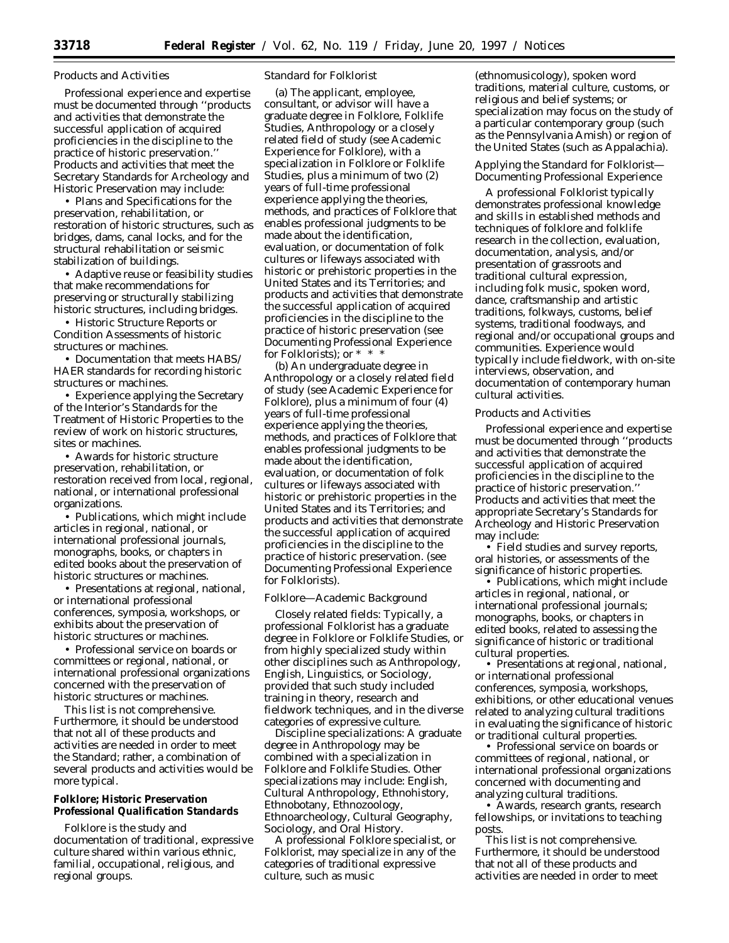## Products and Activities

Professional experience and expertise must be documented through ''products and activities that demonstrate the successful application of acquired proficiencies in the discipline to the practice of historic preservation.'' Products and activities that meet the Secretary Standards for Archeology and Historic Preservation may include:

• Plans and Specifications for the preservation, rehabilitation, or restoration of historic structures, such as bridges, dams, canal locks, and for the structural rehabilitation or seismic stabilization of buildings.

• Adaptive reuse or feasibility studies that make recommendations for preserving or structurally stabilizing historic structures, including bridges.

• Historic Structure Reports or Condition Assessments of historic structures or machines.

• Documentation that meets HABS/ HAER standards for recording historic structures or machines.

• Experience applying the Secretary of the Interior's Standards for the Treatment of Historic Properties to the review of work on historic structures, sites or machines.

• Awards for historic structure preservation, rehabilitation, or restoration received from local, regional, national, or international professional organizations.

• Publications, which might include articles in regional, national, or international professional journals, monographs, books, or chapters in edited books about the preservation of historic structures or machines.

• Presentations at regional, national, or international professional conferences, symposia, workshops, or exhibits about the preservation of historic structures or machines.

• Professional service on boards or committees or regional, national, or international professional organizations concerned with the preservation of historic structures or machines.

This list is not comprehensive. Furthermore, it should be understood that not all of these products and activities are needed in order to meet the Standard; rather, a combination of several products and activities would be more typical.

# **Folklore; Historic Preservation Professional Qualification Standards**

Folklore is the study and documentation of traditional, expressive culture shared within various ethnic, familial, occupational, religious, and regional groups.

### *Standard for Folklorist*

(a) The applicant, employee, consultant, or advisor will have a graduate degree in Folklore, Folklife Studies, Anthropology or a closely related field of study (see Academic Experience for Folklore), with a specialization in Folklore or Folklife Studies, plus a minimum of two (2) years of full-time professional experience applying the theories, methods, and practices of Folklore that enables professional judgments to be made about the identification, evaluation, or documentation of folk cultures or lifeways associated with historic or prehistoric properties in the United States and its Territories; and products and activities that demonstrate the successful application of acquired proficiencies in the discipline to the practice of historic preservation (see Documenting Professional Experience for Folklorists); or \* \* \*

(b) An undergraduate degree in Anthropology or a closely related field of study (see Academic Experience for Folklore), plus a minimum of four (4) years of full-time professional experience applying the theories, methods, and practices of Folklore that enables professional judgments to be made about the identification, evaluation, or documentation of folk cultures or lifeways associated with historic or prehistoric properties in the United States and its Territories; and products and activities that demonstrate the successful application of acquired proficiencies in the discipline to the practice of historic preservation. (see Documenting Professional Experience for Folklorists).

### *Folklore—Academic Background*

*Closely related fields:* Typically, a professional Folklorist has a graduate degree in Folklore or Folklife Studies, or from highly specialized study within other disciplines such as Anthropology, English, Linguistics, or Sociology, provided that such study included training in theory, research and fieldwork techniques, and in the diverse categories of expressive culture.

*Discipline specializations:* A graduate degree in Anthropology may be combined with a specialization in Folklore and Folklife Studies. Other specializations may include: English, Cultural Anthropology, Ethnohistory, Ethnobotany, Ethnozoology, Ethnoarcheology, Cultural Geography, Sociology, and Oral History.

A professional Folklore specialist, or Folklorist, may specialize in any of the categories of traditional expressive culture, such as music

(ethnomusicology), spoken word traditions, material culture, customs, or religious and belief systems; or specialization may focus on the study of a particular contemporary group (such as the Pennsylvania Amish) or region of the United States (such as Appalachia).

## *Applying the Standard for Folklorist— Documenting Professional Experience*

A professional Folklorist typically demonstrates professional knowledge and skills in established methods and techniques of folklore and folklife research in the collection, evaluation, documentation, analysis, and/or presentation of grassroots and traditional cultural expression, including folk music, spoken word, dance, craftsmanship and artistic traditions, folkways, customs, belief systems, traditional foodways, and regional and/or occupational groups and communities. Experience would typically include fieldwork, with on-site interviews, observation, and documentation of contemporary human cultural activities.

#### Products and Activities

Professional experience and expertise must be documented through ''products and activities that demonstrate the successful application of acquired proficiencies in the discipline to the practice of historic preservation.'' Products and activities that meet the appropriate Secretary's Standards for Archeology and Historic Preservation may include:

• Field studies and survey reports, oral histories, or assessments of the significance of historic properties.

• Publications, which might include articles in regional, national, or international professional journals; monographs, books, or chapters in edited books, related to assessing the significance of historic or traditional cultural properties.

• Presentations at regional, national, or international professional conferences, symposia, workshops, exhibitions, or other educational venues related to analyzing cultural traditions in evaluating the significance of historic or traditional cultural properties.

• Professional service on boards or committees of regional, national, or international professional organizations concerned with documenting and analyzing cultural traditions.

• Awards, research grants, research fellowships, or invitations to teaching posts.

This list is not comprehensive. Furthermore, it should be understood that not all of these products and activities are needed in order to meet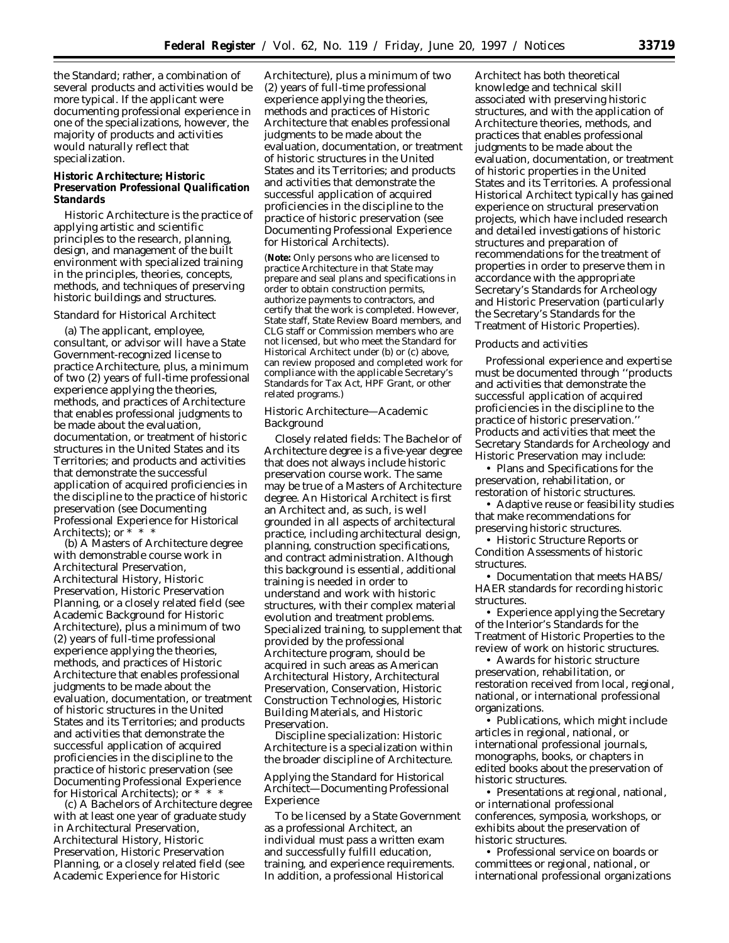the Standard; rather, a combination of several products and activities would be more typical. If the applicant were documenting professional experience in one of the specializations, however, the majority of products and activities would naturally reflect that specialization.

## **Historic Architecture; Historic Preservation Professional Qualification Standards**

Historic Architecture is the practice of applying artistic and scientific principles to the research, planning, design, and management of the built environment with specialized training in the principles, theories, concepts, methods, and techniques of preserving historic buildings and structures.

### *Standard for Historical Architect*

(a) The applicant, employee, consultant, or advisor will have a State Government-recognized license to practice Architecture, plus, a minimum of two (2) years of full-time professional experience applying the theories, methods, and practices of Architecture that enables professional judgments to be made about the evaluation, documentation, or treatment of historic structures in the United States and its Territories; and products and activities that demonstrate the successful application of acquired proficiencies in the discipline to the practice of historic preservation (see Documenting Professional Experience for Historical Architects); or  $* * *$ 

(b) A Masters of Architecture degree with demonstrable course work in Architectural Preservation, Architectural History, Historic Preservation, Historic Preservation Planning, or a closely related field (see Academic Background for Historic Architecture), plus a minimum of two (2) years of full-time professional experience applying the theories, methods, and practices of Historic Architecture that enables professional judgments to be made about the evaluation, documentation, or treatment of historic structures in the United States and its Territories; and products and activities that demonstrate the successful application of acquired proficiencies in the discipline to the practice of historic preservation (see Documenting Professional Experience for Historical Architects); or \* \* \*

(c) A Bachelors of Architecture degree with at least one year of graduate study in Architectural Preservation, Architectural History, Historic Preservation, Historic Preservation Planning, or a closely related field (see Academic Experience for Historic

Architecture), plus a minimum of two (2) years of full-time professional experience applying the theories, methods and practices of Historic Architecture that enables professional judgments to be made about the evaluation, documentation, or treatment of historic structures in the United States and its Territories; and products and activities that demonstrate the successful application of acquired proficiencies in the discipline to the practice of historic preservation (see Documenting Professional Experience for Historical Architects).

(**Note:** Only persons who are licensed to practice Architecture in that State may prepare and seal plans and specifications in order to obtain construction permits, authorize payments to contractors, and certify that the work is completed. However, State staff, State Review Board members, and CLG staff or Commission members who are not licensed, but who meet the Standard for Historical Architect under (b) or (c) above, can review proposed and completed work for compliance with the applicable Secretary's Standards for Tax Act, HPF Grant, or other related programs.)

## *Historic Architecture—Academic Background*

*Closely related fields:* The Bachelor of Architecture degree is a five-year degree that does not always include historic preservation course work. The same may be true of a Masters of Architecture degree. An Historical Architect is first an Architect and, as such, is well grounded in all aspects of architectural practice, including architectural design, planning, construction specifications, and contract administration. Although this background is essential, additional training is needed in order to understand and work with historic structures, with their complex material evolution and treatment problems. Specialized training, to supplement that provided by the professional Architecture program, should be acquired in such areas as American Architectural History, Architectural Preservation, Conservation, Historic Construction Technologies, Historic Building Materials, and Historic Preservation.

*Discipline specialization:* Historic Architecture is a specialization within the broader discipline of Architecture.

# *Applying the Standard for Historical Architect—Documenting Professional Experience*

To be licensed by a State Government as a professional Architect, an individual must pass a written exam and successfully fulfill education, training, and experience requirements. In addition, a professional Historical

Architect has both theoretical knowledge and technical skill associated with preserving historic structures, and with the application of Architecture theories, methods, and practices that enables professional judgments to be made about the evaluation, documentation, or treatment of historic properties in the United States and its Territories. A professional Historical Architect typically has gained experience on structural preservation projects, which have included research and detailed investigations of historic structures and preparation of recommendations for the treatment of properties in order to preserve them in accordance with the appropriate Secretary's Standards for Archeology and Historic Preservation (particularly the Secretary's Standards for the Treatment of Historic Properties).

### Products and activities

Professional experience and expertise must be documented through ''products and activities that demonstrate the successful application of acquired proficiencies in the discipline to the practice of historic preservation. Products and activities that meet the Secretary Standards for Archeology and Historic Preservation may include:

• Plans and Specifications for the preservation, rehabilitation, or restoration of historic structures.

• Adaptive reuse or feasibility studies that make recommendations for preserving historic structures.

- Historic Structure Reports or Condition Assessments of historic structures.
- Documentation that meets HABS/ HAER standards for recording historic structures.

• Experience applying the Secretary of the Interior's Standards for the Treatment of Historic Properties to the review of work on historic structures.

• Awards for historic structure preservation, rehabilitation, or restoration received from local, regional, national, or international professional organizations.

• Publications, which might include articles in regional, national, or international professional journals, monographs, books, or chapters in edited books about the preservation of historic structures.

• Presentations at regional, national, or international professional conferences, symposia, workshops, or exhibits about the preservation of historic structures.

• Professional service on boards or committees or regional, national, or international professional organizations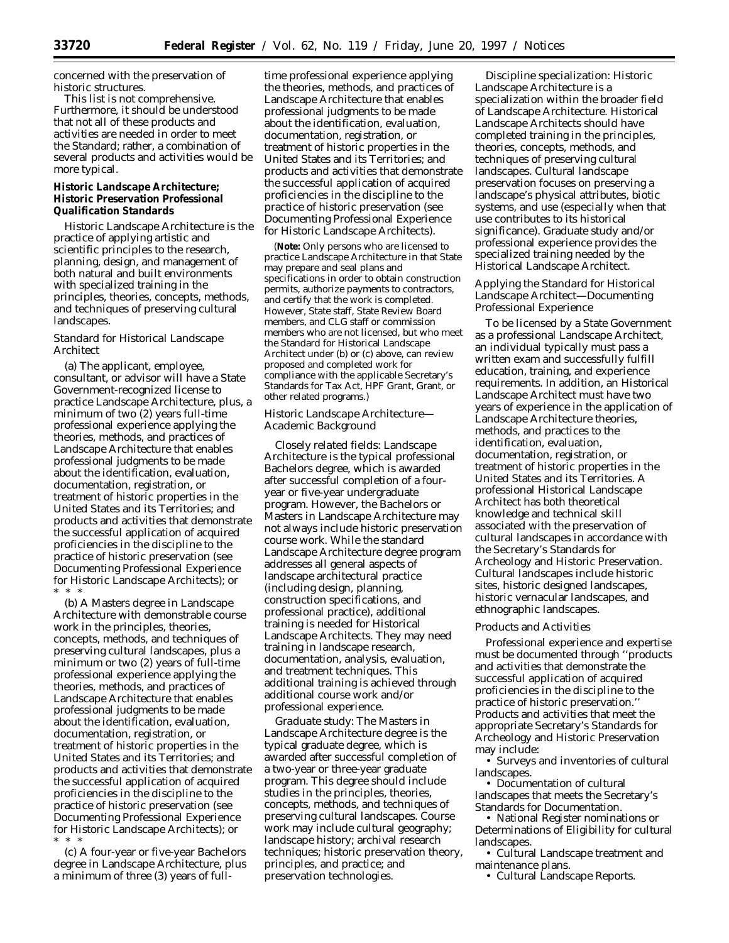concerned with the preservation of historic structures.

This list is not comprehensive. Furthermore, it should be understood that not all of these products and activities are needed in order to meet the Standard; rather, a combination of several products and activities would be more typical.

## **Historic Landscape Architecture; Historic Preservation Professional Qualification Standards**

Historic Landscape Architecture is the practice of applying artistic and scientific principles to the research, planning, design, and management of both natural and built environments with specialized training in the principles, theories, concepts, methods, and techniques of preserving cultural landscapes.

## *Standard for Historical Landscape Architect*

(a) The applicant, employee, consultant, or advisor will have a State Government-recognized license to practice Landscape Architecture, plus, a minimum of two (2) years full-time professional experience applying the theories, methods, and practices of Landscape Architecture that enables professional judgments to be made about the identification, evaluation, documentation, registration, or treatment of historic properties in the United States and its Territories; and products and activities that demonstrate the successful application of acquired proficiencies in the discipline to the practice of historic preservation (see Documenting Professional Experience for Historic Landscape Architects); or \* \* \*

(b) A Masters degree in Landscape Architecture with demonstrable course work in the principles, theories, concepts, methods, and techniques of preserving cultural landscapes, plus a minimum or two (2) years of full-time professional experience applying the theories, methods, and practices of Landscape Architecture that enables professional judgments to be made about the identification, evaluation, documentation, registration, or treatment of historic properties in the United States and its Territories; and products and activities that demonstrate the successful application of acquired proficiencies in the discipline to the practice of historic preservation (see Documenting Professional Experience for Historic Landscape Architects); or \* \* \*

(c) A four-year or five-year Bachelors degree in Landscape Architecture, plus a minimum of three (3) years of full-

time professional experience applying the theories, methods, and practices of Landscape Architecture that enables professional judgments to be made about the identification, evaluation, documentation, registration, or treatment of historic properties in the United States and its Territories; and products and activities that demonstrate the successful application of acquired proficiencies in the discipline to the practice of historic preservation (see Documenting Professional Experience for Historic Landscape Architects).

(**Note:** Only persons who are licensed to practice Landscape Architecture in that State may prepare and seal plans and specifications in order to obtain construction permits, authorize payments to contractors, and certify that the work is completed. However, State staff, State Review Board members, and CLG staff or commission members who are not licensed, but who meet the Standard for Historical Landscape Architect under (b) or (c) above, can review proposed and completed work for compliance with the applicable Secretary's Standards for Tax Act, HPF Grant, Grant, or other related programs.)

## *Historic Landscape Architecture— Academic Background*

*Closely related fields:* Landscape Architecture is the typical professional Bachelors degree, which is awarded after successful completion of a fouryear or five-year undergraduate program. However, the Bachelors or Masters in Landscape Architecture may not always include historic preservation course work. While the standard Landscape Architecture degree program addresses all general aspects of landscape architectural practice (including design, planning, construction specifications, and professional practice), additional training is needed for Historical Landscape Architects. They may need training in landscape research, documentation, analysis, evaluation, and treatment techniques. This additional training is achieved through additional course work and/or professional experience.

*Graduate study:* The Masters in Landscape Architecture degree is the typical graduate degree, which is awarded after successful completion of a two-year or three-year graduate program. This degree should include studies in the principles, theories, concepts, methods, and techniques of preserving cultural landscapes. Course work may include cultural geography; landscape history; archival research techniques; historic preservation theory, principles, and practice; and preservation technologies.

*Discipline specialization:* Historic Landscape Architecture is a specialization within the broader field of Landscape Architecture. Historical Landscape Architects should have completed training in the principles, theories, concepts, methods, and techniques of preserving cultural landscapes. Cultural landscape preservation focuses on preserving a landscape's physical attributes, biotic systems, and use (especially when that use contributes to its historical significance). Graduate study and/or professional experience provides the specialized training needed by the Historical Landscape Architect.

## *Applying the Standard for Historical Landscape Architect—Documenting Professional Experience*

To be licensed by a State Government as a professional Landscape Architect, an individual typically must pass a written exam and successfully fulfill education, training, and experience requirements. In addition, an Historical Landscape Architect must have two years of experience in the application of Landscape Architecture theories, methods, and practices to the identification, evaluation, documentation, registration, or treatment of historic properties in the United States and its Territories. A professional Historical Landscape Architect has both theoretical knowledge and technical skill associated with the preservation of cultural landscapes in accordance with the Secretary's Standards for Archeology and Historic Preservation. Cultural landscapes include historic sites, historic designed landscapes, historic vernacular landscapes, and ethnographic landscapes.

### Products and Activities

Professional experience and expertise must be documented through ''products and activities that demonstrate the successful application of acquired proficiencies in the discipline to the practice of historic preservation.'' Products and activities that meet the appropriate Secretary's Standards for Archeology and Historic Preservation may include:

• Surveys and inventories of cultural landscapes.

• Documentation of cultural landscapes that meets the Secretary's Standards for Documentation.

• National Register nominations or Determinations of Eligibility for cultural landscapes.

• Cultural Landscape treatment and maintenance plans.

• Cultural Landscape Reports.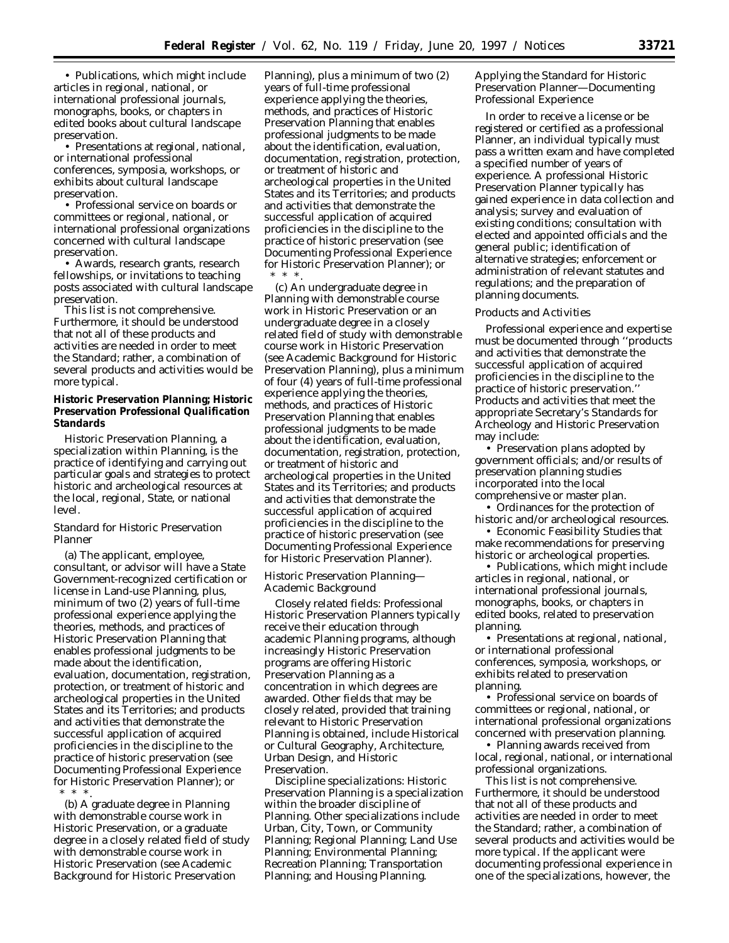• Publications, which might include articles in regional, national, or international professional journals, monographs, books, or chapters in edited books about cultural landscape preservation.

• Presentations at regional, national, or international professional conferences, symposia, workshops, or exhibits about cultural landscape preservation.

• Professional service on boards or committees or regional, national, or international professional organizations concerned with cultural landscape preservation.

• Awards, research grants, research fellowships, or invitations to teaching posts associated with cultural landscape preservation.

This list is not comprehensive. Furthermore, it should be understood that not all of these products and activities are needed in order to meet the Standard; rather, a combination of several products and activities would be more typical.

# **Historic Preservation Planning; Historic Preservation Professional Qualification Standards**

Historic Preservation Planning, a specialization within Planning, is the practice of identifying and carrying out particular goals and strategies to protect historic and archeological resources at the local, regional, State, or national level.

## *Standard for Historic Preservation Planner*

(a) The applicant, employee, consultant, or advisor will have a State Government-recognized certification or license in Land-use Planning, plus, minimum of two (2) years of full-time professional experience applying the theories, methods, and practices of Historic Preservation Planning that enables professional judgments to be made about the identification, evaluation, documentation, registration, protection, or treatment of historic and archeological properties in the United States and its Territories; and products and activities that demonstrate the successful application of acquired proficiencies in the discipline to the practice of historic preservation (see Documenting Professional Experience for Historic Preservation Planner); or \* \* \*.

(b) A graduate degree in Planning with demonstrable course work in Historic Preservation, or a graduate degree in a closely related field of study with demonstrable course work in Historic Preservation (see Academic Background for Historic Preservation

Planning), plus a minimum of two (2) years of full-time professional experience applying the theories, methods, and practices of Historic Preservation Planning that enables professional judgments to be made about the identification, evaluation, documentation, registration, protection, or treatment of historic and archeological properties in the United States and its Territories; and products and activities that demonstrate the successful application of acquired proficiencies in the discipline to the practice of historic preservation (see Documenting Professional Experience for Historic Preservation Planner); or \* \* \*.

(c) An undergraduate degree in Planning with demonstrable course work in Historic Preservation or an undergraduate degree in a closely related field of study with demonstrable course work in Historic Preservation (see Academic Background for Historic Preservation Planning), plus a minimum of four (4) years of full-time professional experience applying the theories, methods, and practices of Historic Preservation Planning that enables professional judgments to be made about the identification, evaluation, documentation, registration, protection, or treatment of historic and archeological properties in the United States and its Territories; and products and activities that demonstrate the successful application of acquired proficiencies in the discipline to the practice of historic preservation (see Documenting Professional Experience for Historic Preservation Planner).

## *Historic Preservation Planning— Academic Background*

*Closely related fields:* Professional Historic Preservation Planners typically receive their education through academic Planning programs, although increasingly Historic Preservation programs are offering Historic Preservation Planning as a concentration in which degrees are awarded. Other fields that may be closely related, provided that training relevant to Historic Preservation Planning is obtained, include Historical or Cultural Geography, Architecture, Urban Design, and Historic Preservation.

*Discipline specializations:* Historic Preservation Planning is a specialization within the broader discipline of Planning. Other specializations include Urban, City, Town, or Community Planning; Regional Planning; Land Use Planning; Environmental Planning; Recreation Planning; Transportation Planning; and Housing Planning.

## *Applying the Standard for Historic Preservation Planner—Documenting Professional Experience*

In order to receive a license or be registered or certified as a professional Planner, an individual typically must pass a written exam and have completed a specified number of years of experience. A professional Historic Preservation Planner typically has gained experience in data collection and analysis; survey and evaluation of existing conditions; consultation with elected and appointed officials and the general public; identification of alternative strategies; enforcement or administration of relevant statutes and regulations; and the preparation of planning documents.

### Products and Activities

Professional experience and expertise must be documented through ''products and activities that demonstrate the successful application of acquired proficiencies in the discipline to the practice of historic preservation.'' Products and activities that meet the appropriate Secretary's Standards for Archeology and Historic Preservation may include:

• Preservation plans adopted by government officials; and/or results of preservation planning studies incorporated into the local comprehensive or master plan.

• Ordinances for the protection of historic and/or archeological resources.

• Economic Feasibility Studies that make recommendations for preserving historic or archeological properties.

• Publications, which might include articles in regional, national, or international professional journals, monographs, books, or chapters in edited books, related to preservation planning.

• Presentations at regional, national, or international professional conferences, symposia, workshops, or exhibits related to preservation planning.

• Professional service on boards of committees or regional, national, or international professional organizations concerned with preservation planning.

• Planning awards received from local, regional, national, or international professional organizations.

This list is not comprehensive. Furthermore, it should be understood that not all of these products and activities are needed in order to meet the Standard; rather, a combination of several products and activities would be more typical. If the applicant were documenting professional experience in one of the specializations, however, the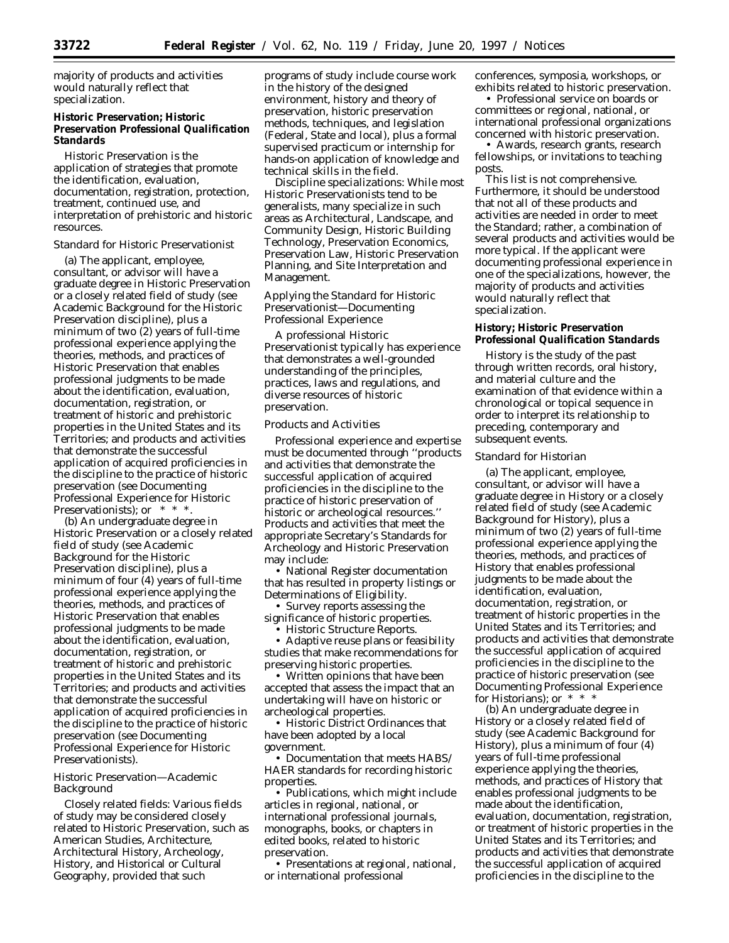majority of products and activities would naturally reflect that specialization.

# **Historic Preservation; Historic Preservation Professional Qualification Standards**

Historic Preservation is the application of strategies that promote the identification, evaluation, documentation, registration, protection, treatment, continued use, and interpretation of prehistoric and historic resources.

### *Standard for Historic Preservationist*

(a) The applicant, employee, consultant, or advisor will have a graduate degree in Historic Preservation or a closely related field of study (see Academic Background for the Historic Preservation discipline), plus a minimum of two (2) years of full-time professional experience applying the theories, methods, and practices of Historic Preservation that enables professional judgments to be made about the identification, evaluation, documentation, registration, or treatment of historic and prehistoric properties in the United States and its Territories; and products and activities that demonstrate the successful application of acquired proficiencies in the discipline to the practice of historic preservation (see Documenting Professional Experience for Historic Preservationists); or  $* * *$ .

(b) An undergraduate degree in Historic Preservation or a closely related field of study (see Academic Background for the Historic Preservation discipline), plus a minimum of four (4) years of full-time professional experience applying the theories, methods, and practices of Historic Preservation that enables professional judgments to be made about the identification, evaluation, documentation, registration, or treatment of historic and prehistoric properties in the United States and its Territories; and products and activities that demonstrate the successful application of acquired proficiencies in the discipline to the practice of historic preservation (see Documenting Professional Experience for Historic Preservationists).

## *Historic Preservation—Academic Background*

*Closely related fields:* Various fields of study may be considered closely related to Historic Preservation, such as American Studies, Architecture, Architectural History, Archeology, History, and Historical or Cultural Geography, provided that such

programs of study include course work in the history of the designed environment, history and theory of preservation, historic preservation methods, techniques, and legislation (Federal, State and local), plus a formal supervised practicum or internship for hands-on application of knowledge and technical skills in the field.

*Discipline specializations:* While most Historic Preservationists tend to be generalists, many specialize in such areas as Architectural, Landscape, and Community Design, Historic Building Technology, Preservation Economics, Preservation Law, Historic Preservation Planning, and Site Interpretation and Management.

## *Applying the Standard for Historic Preservationist—Documenting Professional Experience*

A professional Historic Preservationist typically has experience that demonstrates a well-grounded understanding of the principles, practices, laws and regulations, and diverse resources of historic preservation.

## Products and Activities

Professional experience and expertise must be documented through ''products and activities that demonstrate the successful application of acquired proficiencies in the discipline to the practice of historic preservation of historic or archeological resources.'' Products and activities that meet the appropriate Secretary's Standards for Archeology and Historic Preservation may include:

• National Register documentation that has resulted in property listings or Determinations of Eligibility.

• Survey reports assessing the significance of historic properties.

• Historic Structure Reports.

• Adaptive reuse plans or feasibility studies that make recommendations for preserving historic properties.

• Written opinions that have been accepted that assess the impact that an undertaking will have on historic or archeological properties.

• Historic District Ordinances that have been adopted by a local government.

• Documentation that meets HABS/ HAER standards for recording historic properties.

• Publications, which might include articles in regional, national, or international professional journals, monographs, books, or chapters in edited books, related to historic preservation.

• Presentations at regional, national, or international professional

conferences, symposia, workshops, or exhibits related to historic preservation.

• Professional service on boards or committees or regional, national, or international professional organizations concerned with historic preservation.

• Awards, research grants, research fellowships, or invitations to teaching posts.

This list is not comprehensive. Furthermore, it should be understood that not all of these products and activities are needed in order to meet the Standard; rather, a combination of several products and activities would be more typical. If the applicant were documenting professional experience in one of the specializations, however, the majority of products and activities would naturally reflect that specialization.

# **History; Historic Preservation Professional Qualification Standards**

History is the study of the past through written records, oral history, and material culture and the examination of that evidence within a chronological or topical sequence in order to interpret its relationship to preceding, contemporary and subsequent events.

### *Standard for Historian*

(a) The applicant, employee, consultant, or advisor will have a graduate degree in History or a closely related field of study (see Academic Background for History), plus a minimum of two (2) years of full-time professional experience applying the theories, methods, and practices of History that enables professional judgments to be made about the identification, evaluation, documentation, registration, or treatment of historic properties in the United States and its Territories; and products and activities that demonstrate the successful application of acquired proficiencies in the discipline to the practice of historic preservation (see Documenting Professional Experience for Historians); or \* \* \*

(b) An undergraduate degree in History or a closely related field of study (see Academic Background for History), plus a minimum of four (4) years of full-time professional experience applying the theories, methods, and practices of History that enables professional judgments to be made about the identification, evaluation, documentation, registration, or treatment of historic properties in the United States and its Territories; and products and activities that demonstrate the successful application of acquired proficiencies in the discipline to the